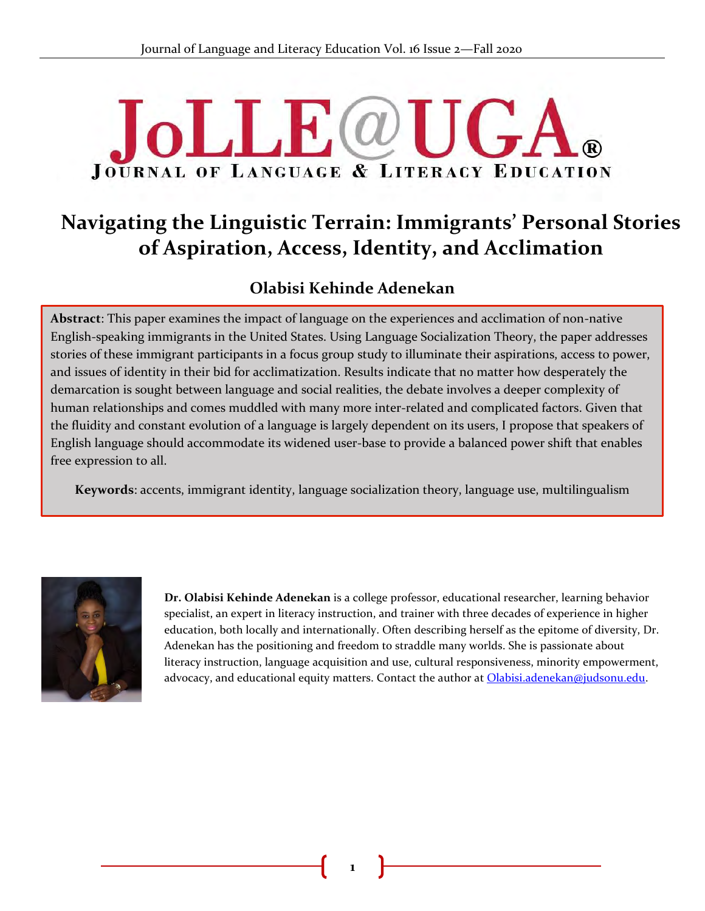# **JoLLE**@U  $\mathbf{I} \perp \mathbf{A}$ **JOURNAL OF LANGUAGE & LITERACY EDUCATION**

## **Navigating the Linguistic Terrain: Immigrants' Personal Stories of Aspiration, Access, Identity, and Acclimation**

## **Olabisi Kehinde Adenekan**

**Abstract**: This paper examines the impact of language on the experiences and acclimation of non-native & English-speaking immigrants in the United States. Using Language Socialization Theory, the paper addresses stories of these immigrant participants in a focus group study to illuminate their aspirations, access to power, and issues of identity in their bid for acclimatization. Results indicate that no matter how desperately the demarcation is sought between language and social realities, the debate involves a deeper complexity of human relationships and comes muddled with many more inter-related and complicated factors. Given that the fluidity and constant evolution of a language is largely dependent on its users, I propose that speakers of English language should accommodate its widened user-base to provide a balanced power shift that enables free expression to all.

**Keywords**: accents, immigrant identity, language socialization theory, language use, multilingualism



**Dr. Olabisi Kehinde Adenekan** is a college professor, educational researcher, learning behavior specialist, an expert in literacy instruction, and trainer with three decades of experience in higher education, both locally and internationally. Often describing herself as the epitome of diversity, Dr. Adenekan has the positioning and freedom to straddle many worlds. She is passionate about literacy instruction, language acquisition and use, cultural responsiveness, minority empowerment, advocacy, and educational equity matters. Contact the author at **Olabisi.adenekan@judsonu.edu.**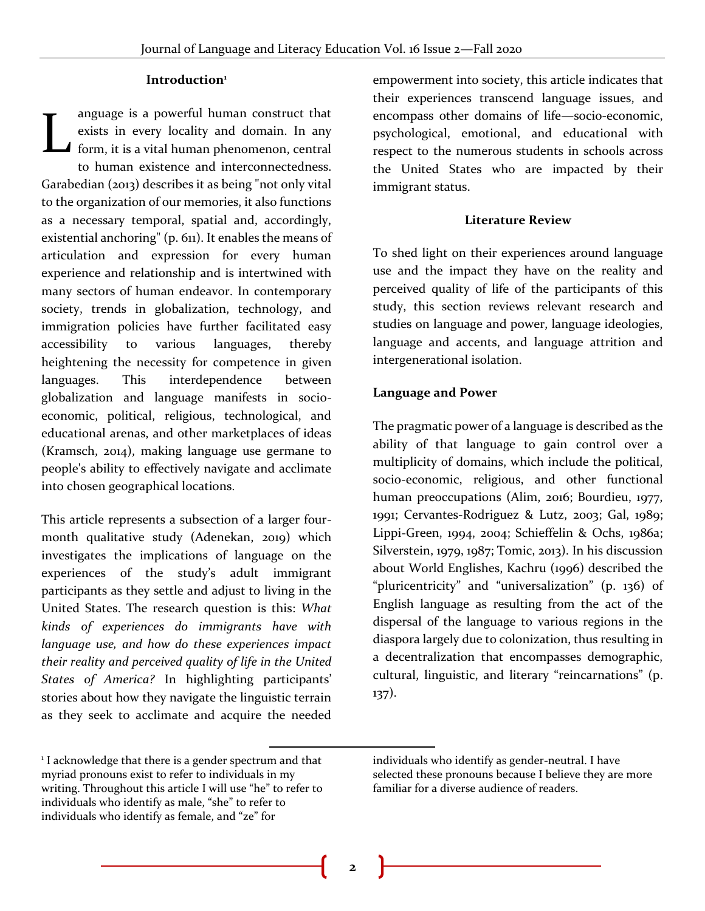#### **Introduction<sup>1</sup>**

anguage is a powerful human construct that exists in every locality and domain. In any form, it is a vital human phenomenon, central to human existence and interconnectedness. Garabedian (2013) describes it as being "not only vital to the organization of our memories, it also functions as a necessary temporal, spatial and, accordingly, existential anchoring" (p. 611). It enables the means of articulation and expression for every human experience and relationship and is intertwined with many sectors of human endeavor. In contemporary society, trends in globalization, technology, and immigration policies have further facilitated easy accessibility to various languages, thereby heightening the necessity for competence in given languages. This interdependence between globalization and language manifests in socioeconomic, political, religious, technological, and educational arenas, and other marketplaces of ideas (Kramsch, 2014), making language use germane to people's ability to effectively navigate and acclimate into chosen geographical locations. L

This article represents a subsection of a larger fourmonth qualitative study (Adenekan, 2019) which investigates the implications of language on the experiences of the study's adult immigrant participants as they settle and adjust to living in the United States. The research question is this: *What kinds of experiences do immigrants have with language use, and how do these experiences impact their reality and perceived quality of life in the United States of America?* In highlighting participants' stories about how they navigate the linguistic terrain as they seek to acclimate and acquire the needed

empowerment into society, this article indicates that their experiences transcend language issues, and encompass other domains of life—socio-economic, psychological, emotional, and educational with respect to the numerous students in schools across the United States who are impacted by their immigrant status.

#### **Literature Review**

To shed light on their experiences around language use and the impact they have on the reality and perceived quality of life of the participants of this study, this section reviews relevant research and studies on language and power, language ideologies, language and accents, and language attrition and intergenerational isolation.

#### **Language and Power**

The pragmatic power of a language is described as the ability of that language to gain control over a multiplicity of domains, which include the political, socio-economic, religious, and other functional human preoccupations (Alim, 2016; Bourdieu, 1977, 1991; Cervantes-Rodriguez & Lutz, 2003; Gal, 1989; Lippi-Green, 1994, 2004; Schieffelin & Ochs, 1986a; Silverstein, 1979, 1987; Tomic, 2013). In his discussion about World Englishes, Kachru (1996) described the "pluricentricity" and "universalization" (p. 136) of English language as resulting from the act of the dispersal of the language to various regions in the diaspora largely due to colonization, thus resulting in a decentralization that encompasses demographic, cultural, linguistic, and literary "reincarnations" (p. 137).

<sup>&</sup>lt;sup>1</sup> I acknowledge that there is a gender spectrum and that myriad pronouns exist to refer to individuals in my writing. Throughout this article I will use "he" to refer to individuals who identify as male, "she" to refer to individuals who identify as female, and "ze" for

individuals who identify as gender-neutral. I have selected these pronouns because I believe they are more familiar for a diverse audience of readers.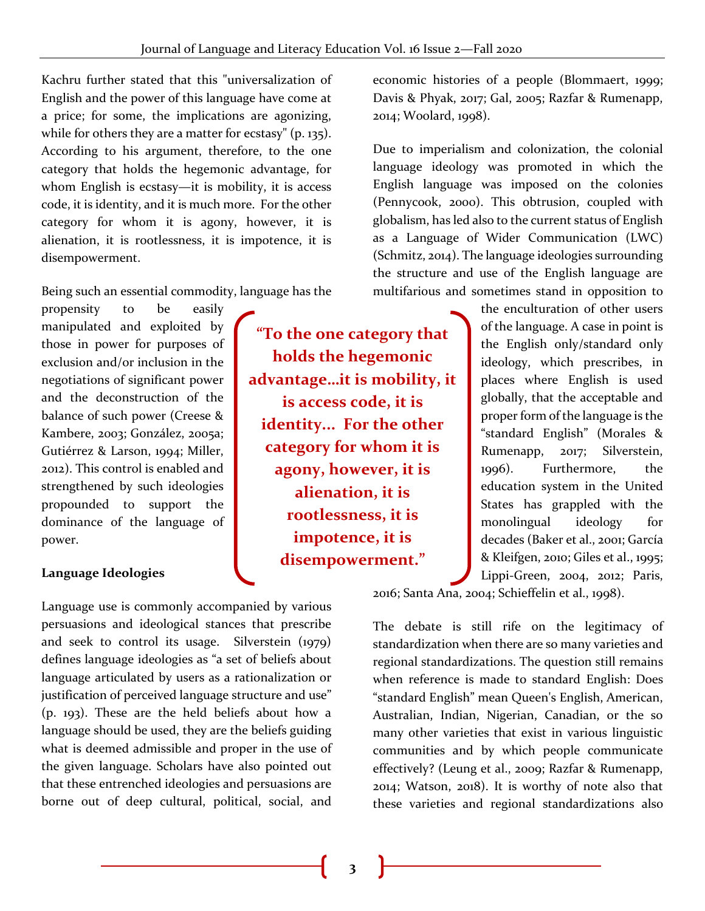Kachru further stated that this "universalization of English and the power of this language have come at a price; for some, the implications are agonizing, while for others they are a matter for ecstasy" (p. 135). According to his argument, therefore, to the one category that holds the hegemonic advantage, for whom English is ecstasy—it is mobility, it is access code, it is identity, and it is much more. For the other category for whom it is agony, however, it is alienation, it is rootlessness, it is impotence, it is disempowerment.

Being such an essential commodity, language has the

propensity to be easily manipulated and exploited by those in power for purposes of exclusion and/or inclusion in the negotiations of significant power and the deconstruction of the balance of such power (Creese & Kambere, 2003; González, 2005a; Gutiérrez & Larson, 1994; Miller, 2012). This control is enabled and strengthened by such ideologies propounded to support the dominance of the language of power.

#### **Language Ideologies**

Language use is commonly accompanied by various persuasions and ideological stances that prescribe and seek to control its usage. Silverstein (1979) defines language ideologies as "a set of beliefs about language articulated by users as a rationalization or justification of perceived language structure and use" (p. 193). These are the held beliefs about how a language should be used, they are the beliefs guiding what is deemed admissible and proper in the use of the given language. Scholars have also pointed out that these entrenched ideologies and persuasions are borne out of deep cultural, political, social, and

**"To the one category that holds the hegemonic advantage…it is mobility, it is access code, it is identity... For the other category for whom it is agony, however, it is alienation, it is rootlessness, it is impotence, it is disempowerment."**

economic histories of a people (Blommaert, 1999; Davis & Phyak, 2017; Gal, 2005; Razfar & Rumenapp, 2014; Woolard, 1998).

Due to imperialism and colonization, the colonial language ideology was promoted in which the English language was imposed on the colonies (Pennycook, 2000). This obtrusion, coupled with globalism, has led also to the current status of English as a Language of Wider Communication (LWC) (Schmitz, 2014). The language ideologies surrounding the structure and use of the English language are multifarious and sometimes stand in opposition to

> the enculturation of other users of the language. A case in point is the English only/standard only ideology, which prescribes, in places where English is used globally, that the acceptable and proper form of the language is the "standard English" (Morales & Rumenapp, 2017; Silverstein, 1996). Furthermore, the education system in the United States has grappled with the monolingual ideology for decades (Baker et al., 2001; García & Kleifgen, 2010; Giles et al., 1995; Lippi-Green, 2004, 2012; Paris,

2016; Santa Ana, 2004; Schieffelin et al., 1998).

The debate is still rife on the legitimacy of standardization when there are so many varieties and regional standardizations. The question still remains when reference is made to standard English: Does "standard English" mean Queen's English, American, Australian, Indian, Nigerian, Canadian, or the so many other varieties that exist in various linguistic communities and by which people communicate effectively? (Leung et al., 2009; Razfar & Rumenapp, 2014; Watson, 2018). It is worthy of note also that these varieties and regional standardizations also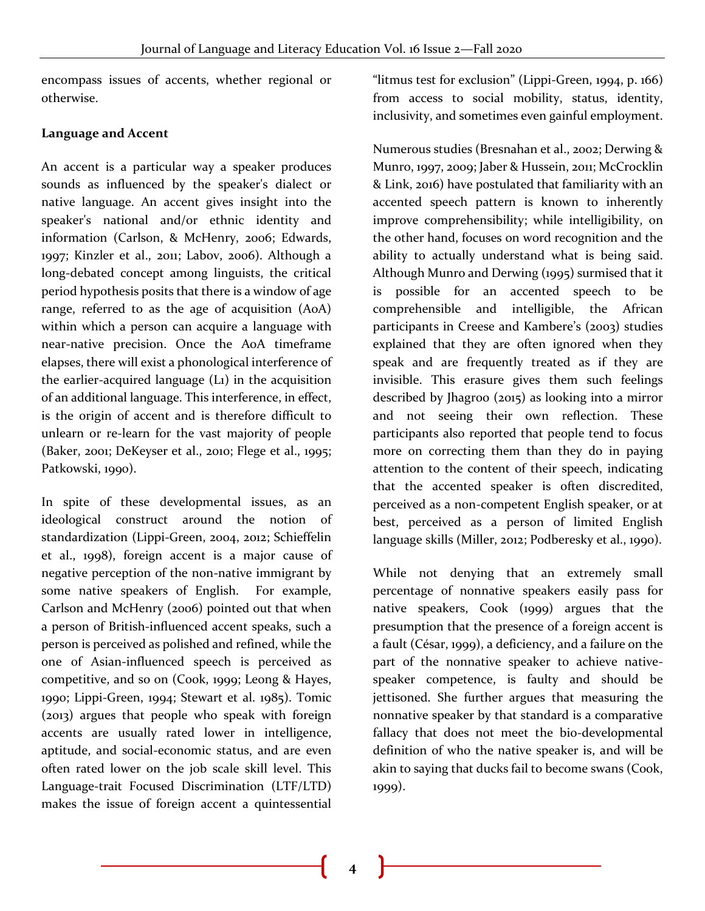encompass issues of accents, whether regional or otherwise.

## **Language and Accent**

An accent is a particular way a speaker produces sounds as influenced by the speaker's dialect or native language. An accent gives insight into the speaker's national and/or ethnic identity and information (Carlson, & McHenry, 2006; Edwards, 1997; Kinzler et al., 2011; Labov, 2006). Although a long-debated concept among linguists, the critical period hypothesis posits that there is a window of age range, referred to as the age of acquisition (AoA) within which a person can acquire a language with near-native precision. Once the AoA timeframe elapses, there will exist a phonological interference of the earlier-acquired language (L1) in the acquisition of an additional language. This interference, in effect, is the origin of accent and is therefore difficult to unlearn or re-learn for the vast majority of people (Baker, 2001; DeKeyser et al., 2010; Flege et al., 1995; Patkowski, 1990).

In spite of these developmental issues, as an ideological construct around the notion of standardization (Lippi-Green, 2004, 2012; Schieffelin et al., 1998), foreign accent is a major cause of negative perception of the non-native immigrant by some native speakers of English. For example, Carlson and McHenry (2006) pointed out that when a person of British-influenced accent speaks, such a person is perceived as polished and refined, while the one of Asian-influenced speech is perceived as competitive, and so on (Cook, 1999; Leong & Hayes, 1990; Lippi-Green, 1994; Stewart et al. 1985). Tomic (2013) argues that people who speak with foreign accents are usually rated lower in intelligence, aptitude, and social-economic status, and are even often rated lower on the job scale skill level. This Language-trait Focused Discrimination (LTF/LTD) makes the issue of foreign accent a quintessential

"litmus test for exclusion" (Lippi-Green, 1994, p. 166) from access to social mobility, status, identity, inclusivity, and sometimes even gainful employment.

Numerous studies (Bresnahan et al., 2002; Derwing & Munro, 1997, 2009; Jaber & Hussein, 2011; McCrocklin & Link, 2016) have postulated that familiarity with an accented speech pattern is known to inherently improve comprehensibility; while intelligibility, on the other hand, focuses on word recognition and the ability to actually understand what is being said. Although Munro and Derwing (1995) surmised that it is possible for an accented speech to be comprehensible and intelligible, the African participants in Creese and Kambere's (2003) studies explained that they are often ignored when they speak and are frequently treated as if they are invisible. This erasure gives them such feelings described by Jhagroo (2015) as looking into a mirror and not seeing their own reflection. These participants also reported that people tend to focus more on correcting them than they do in paying attention to the content of their speech, indicating that the accented speaker is often discredited, perceived as a non-competent English speaker, or at best, perceived as a person of limited English language skills (Miller, 2012; Podberesky et al., 1990).

While not denying that an extremely small percentage of nonnative speakers easily pass for native speakers, Cook (1999) argues that the presumption that the presence of a foreign accent is a fault (César, 1999), a deficiency, and a failure on the part of the nonnative speaker to achieve nativespeaker competence, is faulty and should be jettisoned. She further argues that measuring the nonnative speaker by that standard is a comparative fallacy that does not meet the bio-developmental definition of who the native speaker is, and will be akin to saying that ducks fail to become swans (Cook, 1999).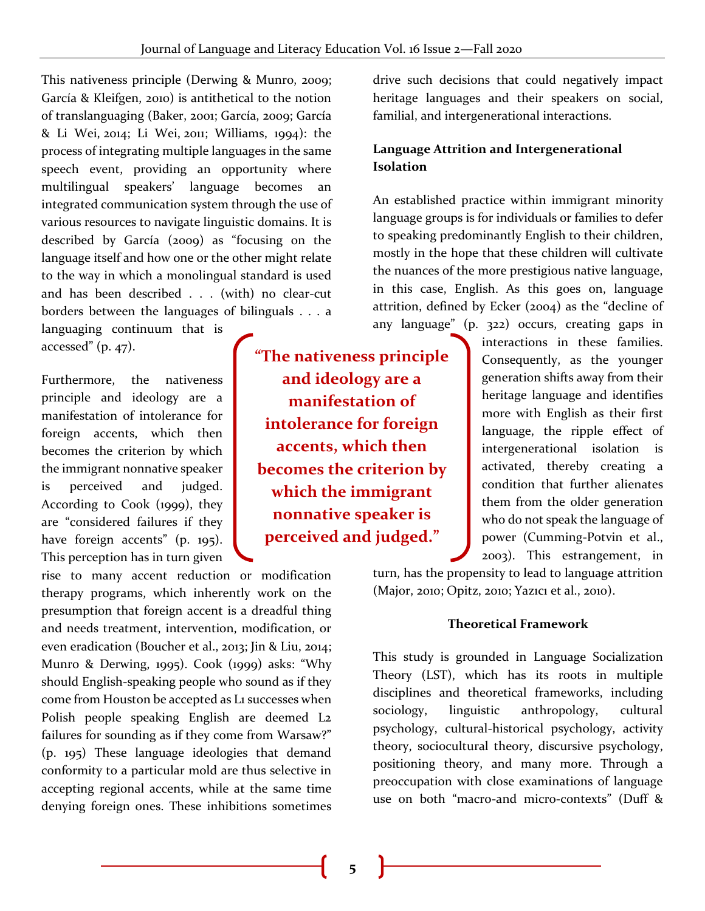This nativeness principle (Derwing & Munro, 2009; García & Kleifgen, 2010) is antithetical to the notion of translanguaging (Baker, 2001; García, 2009; García & Li Wei, 2014; Li Wei, 2011; Williams, 1994): the process of integrating multiple languages in the same speech event, providing an opportunity where multilingual speakers' language becomes an integrated communication system through the use of various resources to navigate linguistic domains. It is described by García (2009) as "focusing on the language itself and how one or the other might relate to the way in which a monolingual standard is used and has been described . . . (with) no clear-cut borders between the languages of bilinguals . . . a

languaging continuum that is accessed"  $(p. 47)$ .

Furthermore, the nativeness principle and ideology are a manifestation of intolerance for foreign accents, which then becomes the criterion by which the immigrant nonnative speaker is perceived and judged. According to Cook (1999), they are "considered failures if they have foreign accents" (p. 195). This perception has in turn given

rise to many accent reduction or modification therapy programs, which inherently work on the presumption that foreign accent is a dreadful thing and needs treatment, intervention, modification, or even eradication (Boucher et al., 2013; Jin & Liu, 2014; Munro & Derwing, 1995). Cook (1999) asks: "Why should English-speaking people who sound as if they come from Houston be accepted as L1 successes when Polish people speaking English are deemed L2 failures for sounding as if they come from Warsaw?" (p. 195) These language ideologies that demand conformity to a particular mold are thus selective in accepting regional accents, while at the same time denying foreign ones. These inhibitions sometimes

**"The nativeness principle and ideology are a manifestation of intolerance for foreign accents, which then becomes the criterion by which the immigrant nonnative speaker is perceived and judged."**

drive such decisions that could negatively impact heritage languages and their speakers on social, familial, and intergenerational interactions.

### **Language Attrition and Intergenerational Isolation**

An established practice within immigrant minority language groups is for individuals or families to defer to speaking predominantly English to their children, mostly in the hope that these children will cultivate the nuances of the more prestigious native language, in this case, English. As this goes on, language attrition, defined by Ecker (2004) as the "decline of any language" (p. 322) occurs, creating gaps in

interactions in these families. Consequently, as the younger generation shifts away from their heritage language and identifies more with English as their first language, the ripple effect of intergenerational isolation is activated, thereby creating a condition that further alienates them from the older generation who do not speak the language of power (Cumming-Potvin et al., 2003). This estrangement, in

turn, has the propensity to lead to language attrition (Major, 2010; Opitz, 2010; Yazıcı et al., 2010).

#### **Theoretical Framework**

This study is grounded in Language Socialization Theory (LST), which has its roots in multiple disciplines and theoretical frameworks, including sociology, linguistic anthropology, cultural psychology, cultural-historical psychology, activity theory, sociocultural theory, discursive psychology, positioning theory, and many more. Through a preoccupation with close examinations of language use on both "macro-and micro-contexts" (Duff &

**5**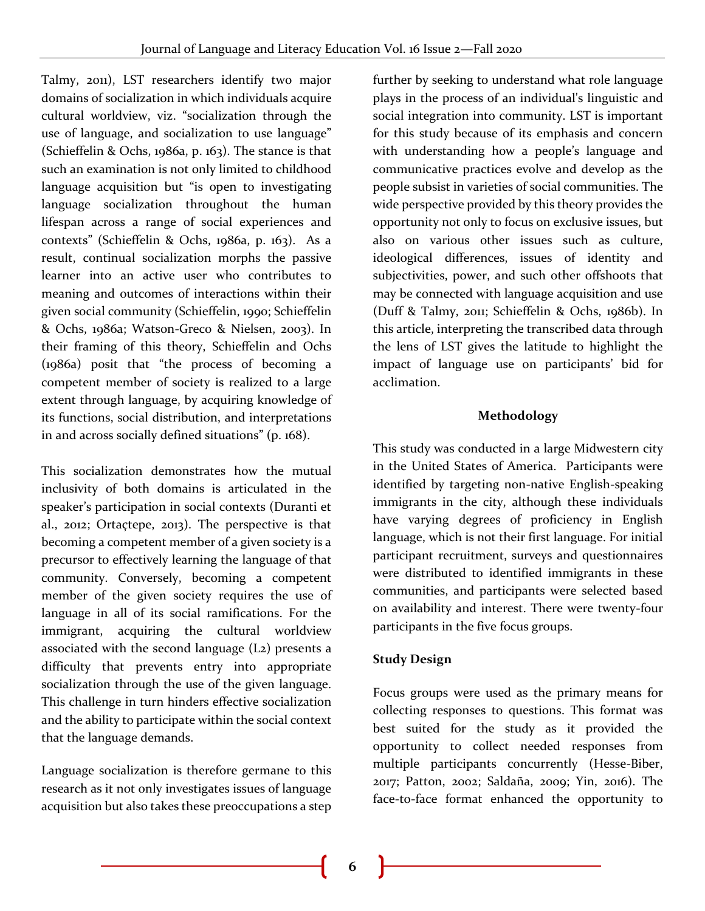Talmy, 2011), LST researchers identify two major domains of socialization in which individuals acquire cultural worldview, viz. "socialization through the use of language, and socialization to use language" (Schieffelin & Ochs, 1986a, p. 163). The stance is that such an examination is not only limited to childhood language acquisition but "is open to investigating language socialization throughout the human lifespan across a range of social experiences and contexts" (Schieffelin & Ochs, 1986a, p. 163). As a result, continual socialization morphs the passive learner into an active user who contributes to meaning and outcomes of interactions within their given social community (Schieffelin, 1990; Schieffelin & Ochs, 1986a; Watson-Greco & Nielsen, 2003). In their framing of this theory, Schieffelin and Ochs (1986a) posit that "the process of becoming a competent member of society is realized to a large extent through language, by acquiring knowledge of its functions, social distribution, and interpretations in and across socially defined situations" (p. 168).

This socialization demonstrates how the mutual inclusivity of both domains is articulated in the speaker's participation in social contexts (Duranti et al., 2012; Ortaçtepe, 2013). The perspective is that becoming a competent member of a given society is a precursor to effectively learning the language of that community. Conversely, becoming a competent member of the given society requires the use of language in all of its social ramifications. For the immigrant, acquiring the cultural worldview associated with the second language (L2) presents a difficulty that prevents entry into appropriate socialization through the use of the given language. This challenge in turn hinders effective socialization and the ability to participate within the social context that the language demands.

Language socialization is therefore germane to this research as it not only investigates issues of language acquisition but also takes these preoccupations a step further by seeking to understand what role language plays in the process of an individual's linguistic and social integration into community. LST is important for this study because of its emphasis and concern with understanding how a people's language and communicative practices evolve and develop as the people subsist in varieties of social communities. The wide perspective provided by this theory provides the opportunity not only to focus on exclusive issues, but also on various other issues such as culture, ideological differences, issues of identity and subjectivities, power, and such other offshoots that may be connected with language acquisition and use (Duff & Talmy, 2011; Schieffelin & Ochs, 1986b). In this article, interpreting the transcribed data through the lens of LST gives the latitude to highlight the impact of language use on participants' bid for acclimation.

## **Methodology**

This study was conducted in a large Midwestern city in the United States of America. Participants were identified by targeting non-native English-speaking immigrants in the city, although these individuals have varying degrees of proficiency in English language, which is not their first language. For initial participant recruitment, surveys and questionnaires were distributed to identified immigrants in these communities, and participants were selected based on availability and interest. There were twenty-four participants in the five focus groups.

## **Study Design**

Focus groups were used as the primary means for collecting responses to questions. This format was best suited for the study as it provided the opportunity to collect needed responses from multiple participants concurrently (Hesse-Biber, 2017; Patton, 2002; Saldaña, 2009; Yin, 2016). The face-to-face format enhanced the opportunity to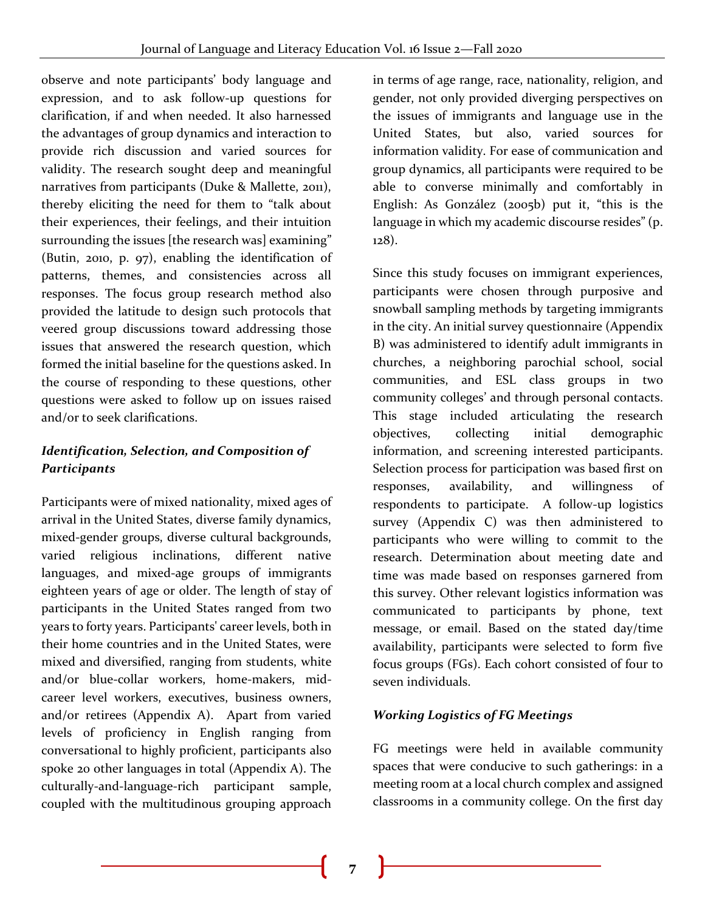observe and note participants' body language and expression, and to ask follow-up questions for clarification, if and when needed. It also harnessed the advantages of group dynamics and interaction to provide rich discussion and varied sources for validity. The research sought deep and meaningful narratives from participants (Duke & Mallette, 2011), thereby eliciting the need for them to "talk about their experiences, their feelings, and their intuition surrounding the issues [the research was] examining" (Butin, 2010, p. 97), enabling the identification of patterns, themes, and consistencies across all responses. The focus group research method also provided the latitude to design such protocols that veered group discussions toward addressing those issues that answered the research question, which formed the initial baseline for the questions asked. In the course of responding to these questions, other questions were asked to follow up on issues raised and/or to seek clarifications.

## *Identification, Selection, and Composition of Participants*

Participants were of mixed nationality, mixed ages of arrival in the United States, diverse family dynamics, mixed-gender groups, diverse cultural backgrounds, varied religious inclinations, different native languages, and mixed-age groups of immigrants eighteen years of age or older. The length of stay of participants in the United States ranged from two years to forty years. Participants' career levels, both in their home countries and in the United States, were mixed and diversified, ranging from students, white and/or blue-collar workers, home-makers, midcareer level workers, executives, business owners, and/or retirees (Appendix A). Apart from varied levels of proficiency in English ranging from conversational to highly proficient, participants also spoke 20 other languages in total (Appendix A). The culturally-and-language-rich participant sample, coupled with the multitudinous grouping approach in terms of age range, race, nationality, religion, and gender, not only provided diverging perspectives on the issues of immigrants and language use in the United States, but also, varied sources for information validity. For ease of communication and group dynamics, all participants were required to be able to converse minimally and comfortably in English: As González (2005b) put it, "this is the language in which my academic discourse resides" (p. 128).

Since this study focuses on immigrant experiences, participants were chosen through purposive and snowball sampling methods by targeting immigrants in the city. An initial survey questionnaire (Appendix B) was administered to identify adult immigrants in churches, a neighboring parochial school, social communities, and ESL class groups in two community colleges' and through personal contacts. This stage included articulating the research objectives, collecting initial demographic information, and screening interested participants. Selection process for participation was based first on responses, availability, and willingness of respondents to participate. A follow-up logistics survey (Appendix C) was then administered to participants who were willing to commit to the research. Determination about meeting date and time was made based on responses garnered from this survey. Other relevant logistics information was communicated to participants by phone, text message, or email. Based on the stated day/time availability, participants were selected to form five focus groups (FGs). Each cohort consisted of four to seven individuals.

## *Working Logistics of FG Meetings*

FG meetings were held in available community spaces that were conducive to such gatherings: in a meeting room at a local church complex and assigned classrooms in a community college. On the first day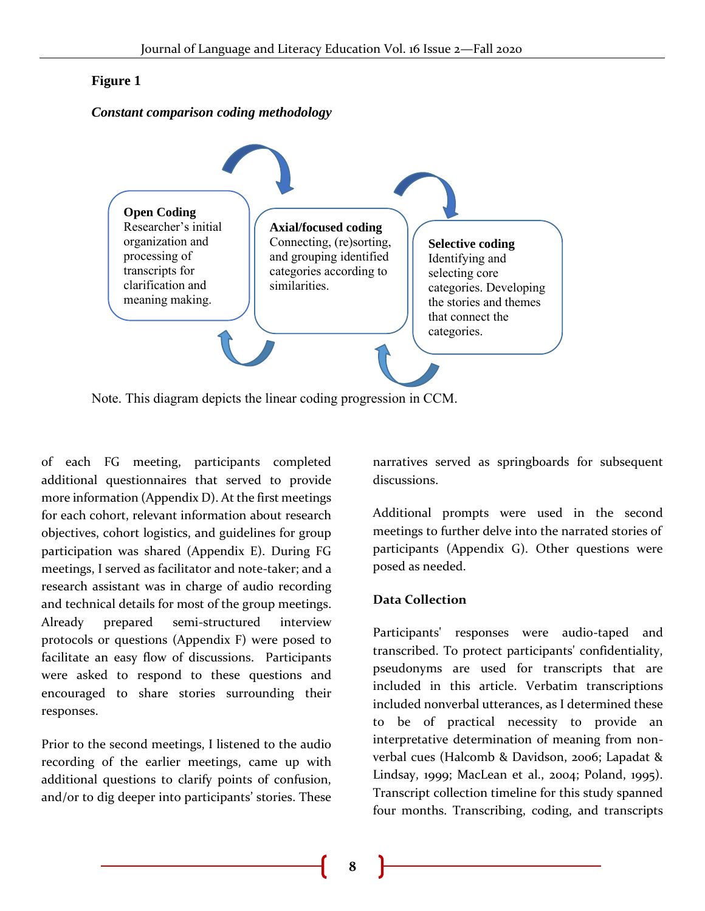#### **Figure 1**

#### *Constant comparison coding methodology*



Note. This diagram depicts the linear coding progression in CCM.

of each FG meeting, participants completed additional questionnaires that served to provide more information (Appendix D). At the first meetings for each cohort, relevant information about research objectives, cohort logistics, and guidelines for group participation was shared (Appendix E). During FG meetings, I served as facilitator and note-taker; and a research assistant was in charge of audio recording and technical details for most of the group meetings. Already prepared semi-structured interview protocols or questions (Appendix F) were posed to facilitate an easy flow of discussions. Participants were asked to respond to these questions and encouraged to share stories surrounding their responses.

Prior to the second meetings, I listened to the audio recording of the earlier meetings, came up with additional questions to clarify points of confusion, and/or to dig deeper into participants' stories. These

narratives served as springboards for subsequent discussions.

Additional prompts were used in the second meetings to further delve into the narrated stories of participants (Appendix G). Other questions were posed as needed.

#### **Data Collection**

Participants' responses were audio-taped and transcribed. To protect participants' confidentiality, pseudonyms are used for transcripts that are included in this article. Verbatim transcriptions included nonverbal utterances, as I determined these to be of practical necessity to provide an interpretative determination of meaning from nonverbal cues (Halcomb & Davidson, 2006; Lapadat & Lindsay, 1999; MacLean et al., 2004; Poland, 1995). Transcript collection timeline for this study spanned four months. Transcribing, coding, and transcripts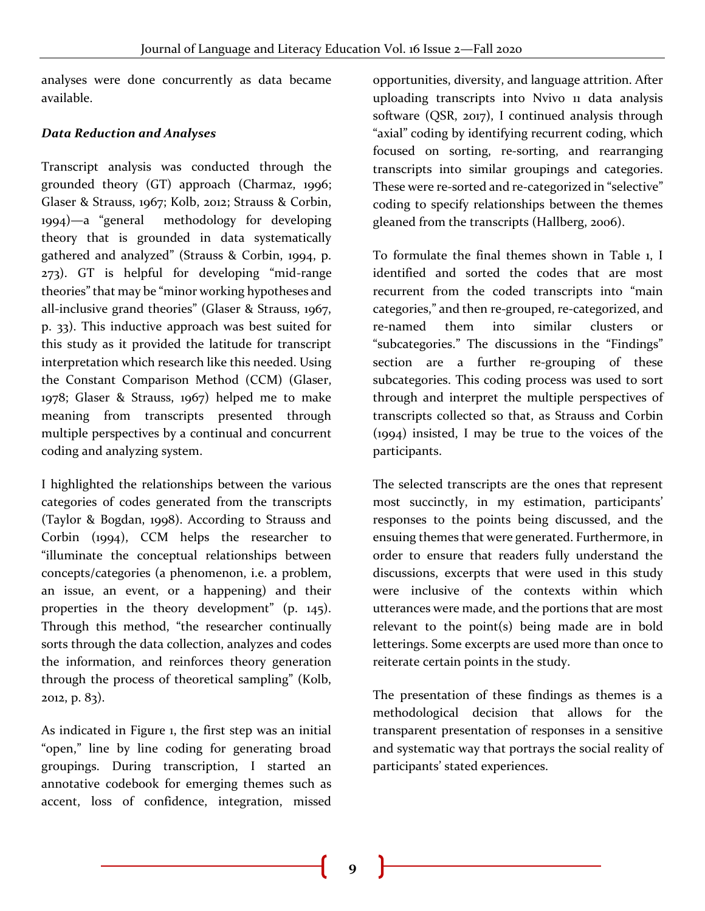analyses were done concurrently as data became available.

## *Data Reduction and Analyses*

Transcript analysis was conducted through the grounded theory (GT) approach (Charmaz, 1996; Glaser & Strauss, 1967; Kolb, 2012; Strauss & Corbin, 1994)—a "general methodology for developing theory that is grounded in data systematically gathered and analyzed" (Strauss & Corbin, 1994, p. 273). GT is helpful for developing "mid-range theories" that may be "minor working hypotheses and all-inclusive grand theories" (Glaser & Strauss, 1967, p. 33). This inductive approach was best suited for this study as it provided the latitude for transcript interpretation which research like this needed. Using the Constant Comparison Method (CCM) (Glaser, 1978; Glaser & Strauss, 1967) helped me to make meaning from transcripts presented through multiple perspectives by a continual and concurrent coding and analyzing system.

I highlighted the relationships between the various categories of codes generated from the transcripts (Taylor & Bogdan, 1998). According to Strauss and Corbin (1994), CCM helps the researcher to "illuminate the conceptual relationships between concepts/categories (a phenomenon, i.e. a problem, an issue, an event, or a happening) and their properties in the theory development" (p. 145). Through this method, "the researcher continually sorts through the data collection, analyzes and codes the information, and reinforces theory generation through the process of theoretical sampling" (Kolb, 2012, p. 83).

As indicated in Figure 1, the first step was an initial "open," line by line coding for generating broad groupings. During transcription, I started an annotative codebook for emerging themes such as accent, loss of confidence, integration, missed

opportunities, diversity, and language attrition. After uploading transcripts into Nvivo 11 data analysis software (QSR, 2017), I continued analysis through "axial" coding by identifying recurrent coding, which focused on sorting, re-sorting, and rearranging transcripts into similar groupings and categories. These were re-sorted and re-categorized in "selective" coding to specify relationships between the themes gleaned from the transcripts (Hallberg, 2006).

To formulate the final themes shown in Table 1, I identified and sorted the codes that are most recurrent from the coded transcripts into "main categories," and then re-grouped, re-categorized, and re-named them into similar clusters or "subcategories." The discussions in the "Findings" section are a further re-grouping of these subcategories. This coding process was used to sort through and interpret the multiple perspectives of transcripts collected so that, as Strauss and Corbin (1994) insisted, I may be true to the voices of the participants.

The selected transcripts are the ones that represent most succinctly, in my estimation, participants' responses to the points being discussed, and the ensuing themes that were generated. Furthermore, in order to ensure that readers fully understand the discussions, excerpts that were used in this study were inclusive of the contexts within which utterances were made, and the portions that are most relevant to the point(s) being made are in bold letterings. Some excerpts are used more than once to reiterate certain points in the study.

The presentation of these findings as themes is a methodological decision that allows for the transparent presentation of responses in a sensitive and systematic way that portrays the social reality of participants' stated experiences.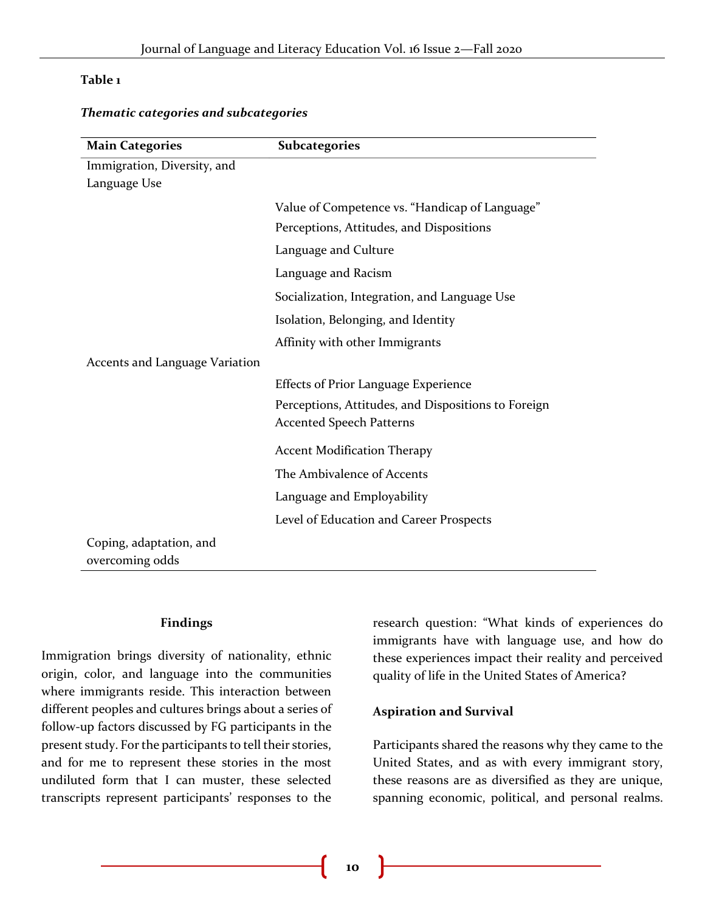#### **Table 1**

| <b>Main Categories</b>                     | <b>Subcategories</b>                                                                   |
|--------------------------------------------|----------------------------------------------------------------------------------------|
| Immigration, Diversity, and                |                                                                                        |
| Language Use                               |                                                                                        |
|                                            | Value of Competence vs. "Handicap of Language"                                         |
|                                            | Perceptions, Attitudes, and Dispositions                                               |
|                                            | Language and Culture                                                                   |
|                                            | Language and Racism                                                                    |
|                                            | Socialization, Integration, and Language Use                                           |
|                                            | Isolation, Belonging, and Identity                                                     |
|                                            | Affinity with other Immigrants                                                         |
| Accents and Language Variation             |                                                                                        |
|                                            | <b>Effects of Prior Language Experience</b>                                            |
|                                            | Perceptions, Attitudes, and Dispositions to Foreign<br><b>Accented Speech Patterns</b> |
|                                            | <b>Accent Modification Therapy</b>                                                     |
|                                            | The Ambivalence of Accents                                                             |
|                                            | Language and Employability                                                             |
|                                            | Level of Education and Career Prospects                                                |
| Coping, adaptation, and<br>overcoming odds |                                                                                        |

#### *Thematic categories and subcategories*

#### **Findings**

Immigration brings diversity of nationality, ethnic origin, color, and language into the communities where immigrants reside. This interaction between different peoples and cultures brings about a series of follow-up factors discussed by FG participants in the present study. For the participants to tell their stories, and for me to represent these stories in the most undiluted form that I can muster, these selected transcripts represent participants' responses to the

research question: "What kinds of experiences do immigrants have with language use, and how do these experiences impact their reality and perceived quality of life in the United States of America?

#### **Aspiration and Survival**

Participants shared the reasons why they came to the United States, and as with every immigrant story, these reasons are as diversified as they are unique, spanning economic, political, and personal realms.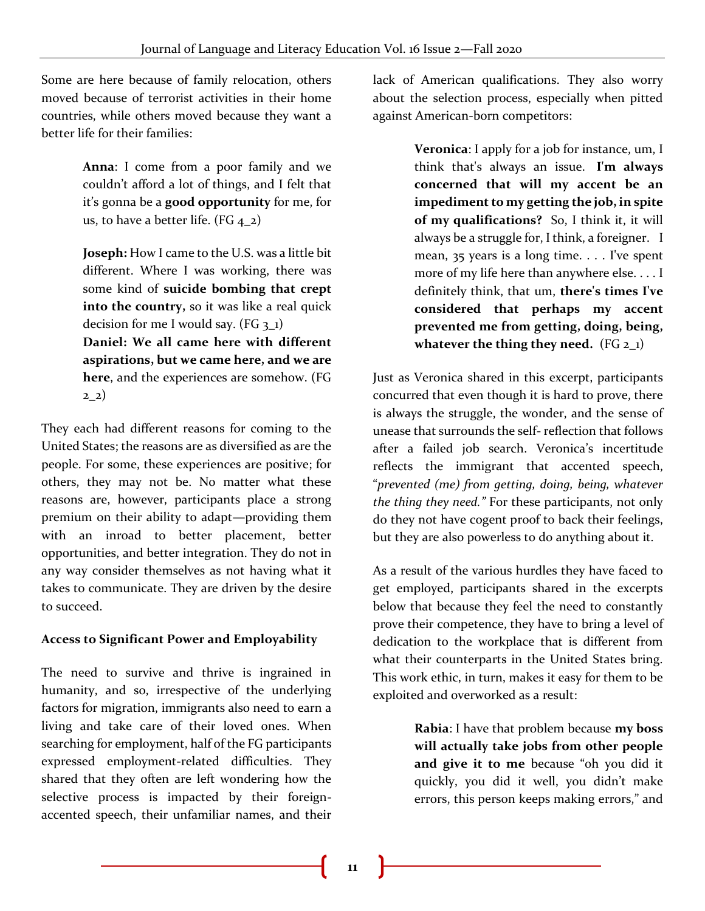Some are here because of family relocation, others moved because of terrorist activities in their home countries, while others moved because they want a better life for their families:

> **Anna**: I come from a poor family and we couldn't afford a lot of things, and I felt that it's gonna be a **good opportunity** for me, for us, to have a better life. (FG  $4_2$ )

> **Joseph:** How I came to the U.S. was a little bit different. Where I was working, there was some kind of **suicide bombing that crept into the country,** so it was like a real quick decision for me I would say.  $(FG_3_1)$

> **Daniel: We all came here with different aspirations, but we came here, and we are here**, and the experiences are somehow. (FG  $22)$

They each had different reasons for coming to the United States; the reasons are as diversified as are the people. For some, these experiences are positive; for others, they may not be. No matter what these reasons are, however, participants place a strong premium on their ability to adapt—providing them with an inroad to better placement, better opportunities, and better integration. They do not in any way consider themselves as not having what it takes to communicate. They are driven by the desire to succeed.

## **Access to Significant Power and Employability**

The need to survive and thrive is ingrained in humanity, and so, irrespective of the underlying factors for migration, immigrants also need to earn a living and take care of their loved ones. When searching for employment, half of the FG participants expressed employment-related difficulties. They shared that they often are left wondering how the selective process is impacted by their foreignaccented speech, their unfamiliar names, and their

lack of American qualifications. They also worry about the selection process, especially when pitted against American-born competitors:

> **Veronica**: I apply for a job for instance, um, I think that's always an issue. **I'm always concerned that will my accent be an impediment to my getting the job, in spite of my qualifications?** So, I think it, it will always be a struggle for, I think, a foreigner. I mean, 35 years is a long time. . . . I've spent more of my life here than anywhere else. . . . I definitely think, that um, **there's times I've considered that perhaps my accent prevented me from getting, doing, being, whatever the thing they need.** (FG 2\_1)

Just as Veronica shared in this excerpt, participants concurred that even though it is hard to prove, there is always the struggle, the wonder, and the sense of unease that surrounds the self- reflection that follows after a failed job search. Veronica's incertitude reflects the immigrant that accented speech, "*prevented (me) from getting, doing, being, whatever the thing they need."* For these participants, not only do they not have cogent proof to back their feelings, but they are also powerless to do anything about it.

As a result of the various hurdles they have faced to get employed, participants shared in the excerpts below that because they feel the need to constantly prove their competence, they have to bring a level of dedication to the workplace that is different from what their counterparts in the United States bring. This work ethic, in turn, makes it easy for them to be exploited and overworked as a result:

> **Rabia**: I have that problem because **my boss will actually take jobs from other people and give it to me** because "oh you did it quickly, you did it well, you didn't make errors, this person keeps making errors," and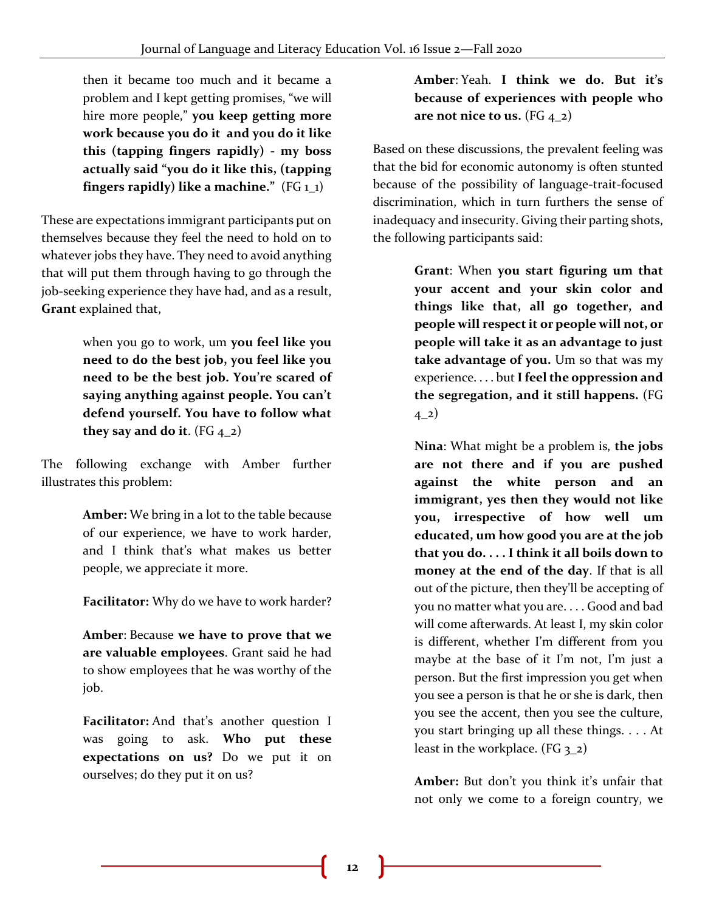then it became too much and it became a problem and I kept getting promises, "we will hire more people," **you keep getting more work because you do it and you do it like this (tapping fingers rapidly) - my boss actually said "you do it like this, (tapping fingers rapidly) like a machine."** (FG 1\_1)

These are expectations immigrant participants put on themselves because they feel the need to hold on to whatever jobs they have. They need to avoid anything that will put them through having to go through the job-seeking experience they have had, and as a result, **Grant** explained that,

> when you go to work, um **you feel like you need to do the best job, you feel like you need to be the best job. You're scared of saying anything against people. You can't defend yourself. You have to follow what they say and do it.** (FG  $_{4-2}$ )

The following exchange with Amber further illustrates this problem:

> **Amber:** We bring in a lot to the table because of our experience, we have to work harder, and I think that's what makes us better people, we appreciate it more.

**Facilitator:** Why do we have to work harder?

**Amber**: Because **we have to prove that we are valuable employees**. Grant said he had to show employees that he was worthy of the job.

**Facilitator:** And that's another question I was going to ask. **Who put these expectations on us?** Do we put it on ourselves; do they put it on us?

## **Amber**: Yeah. **I think we do. But it's because of experiences with people who are not nice to us.** (FG 4\_2)

Based on these discussions, the prevalent feeling was that the bid for economic autonomy is often stunted because of the possibility of language-trait-focused discrimination, which in turn furthers the sense of inadequacy and insecurity. Giving their parting shots, the following participants said:

> **Grant**: When **you start figuring um that your accent and your skin color and things like that, all go together, and people will respect it or people will not, or people will take it as an advantage to just take advantage of you.** Um so that was my experience. . . . but **Ifeel the oppression and the segregation, and it still happens.** (FG  $(4-2)$

> **Nina**: What might be a problem is, **the jobs are not there and if you are pushed against the white person and an immigrant, yes then they would not like you, irrespective of how well um educated, um how good you are at the job that you do. . . . I think it all boils down to money at the end of the day**. If that is all out of the picture, then they'll be accepting of you no matter what you are. . . . Good and bad will come afterwards. At least I, my skin color is different, whether I'm different from you maybe at the base of it I'm not, I'm just a person. But the first impression you get when you see a person is that he or she is dark, then you see the accent, then you see the culture, you start bringing up all these things. . . . At least in the workplace. (FG  $3_2$ )

**Amber:** But don't you think it's unfair that not only we come to a foreign country, we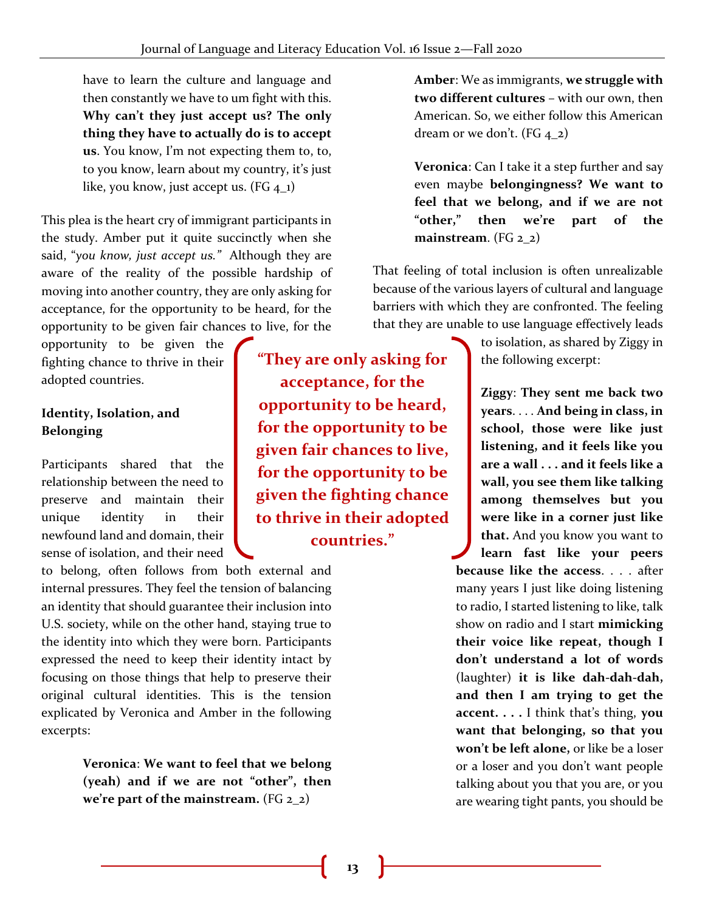have to learn the culture and language and then constantly we have to um fight with this. **Why can't they just accept us? The only thing they have to actually do is to accept us**. You know, I'm not expecting them to, to, to you know, learn about my country, it's just like, you know, just accept us.  $(FG_4_1)$ 

This plea is the heart cry of immigrant participants in the study. Amber put it quite succinctly when she said, "*you know, just accept us."* Although they are aware of the reality of the possible hardship of moving into another country, they are only asking for acceptance, for the opportunity to be heard, for the opportunity to be given fair chances to live, for the

opportunity to be given the fighting chance to thrive in their adopted countries.

## **Identity, Isolation, and Belonging**

Participants shared that the relationship between the need to preserve and maintain their unique identity in their newfound land and domain, their sense of isolation, and their need

to belong, often follows from both external and internal pressures. They feel the tension of balancing an identity that should guarantee their inclusion into U.S. society, while on the other hand, staying true to the identity into which they were born. Participants expressed the need to keep their identity intact by focusing on those things that help to preserve their original cultural identities. This is the tension explicated by Veronica and Amber in the following excerpts:

> **Veronica**: **We want to feel that we belong (yeah) and if we are not "other", then we're part of the mainstream.** (FG 2\_2)

**"They are only asking for acceptance, for the opportunity to be heard, for the opportunity to be given fair chances to live, for the opportunity to be given the fighting chance to thrive in their adopted countries."**

**Amber**: We as immigrants, **we struggle with two different cultures** – with our own, then American. So, we either follow this American dream or we don't. (FG  $4_2$ )

**Veronica**: Can I take it a step further and say even maybe **belongingness? We want to feel that we belong, and if we are not "other," then we're part of the mainstream**. (FG 2\_2)

That feeling of total inclusion is often unrealizable because of the various layers of cultural and language barriers with which they are confronted. The feeling that they are unable to use language effectively leads

> to isolation, as shared by Ziggy in the following excerpt:

**Ziggy**: **They sent me back two years**. . . . **And being in class, in school, those were like just listening, and it feels like you are a wall . . . and it feels like a wall, you see them like talking among themselves but you were like in a corner just like that.** And you know you want to

**learn fast like your peers because like the access**. . . . after many years I just like doing listening to radio, I started listening to like, talk show on radio and I start **mimicking their voice like repeat, though I don't understand a lot of words** (laughter) **it is like dah-dah-dah, and then I am trying to get the accent. . . .** I think that's thing, **you want that belonging, so that you won't be left alone,** or like be a loser or a loser and you don't want people talking about you that you are, or you are wearing tight pants, you should be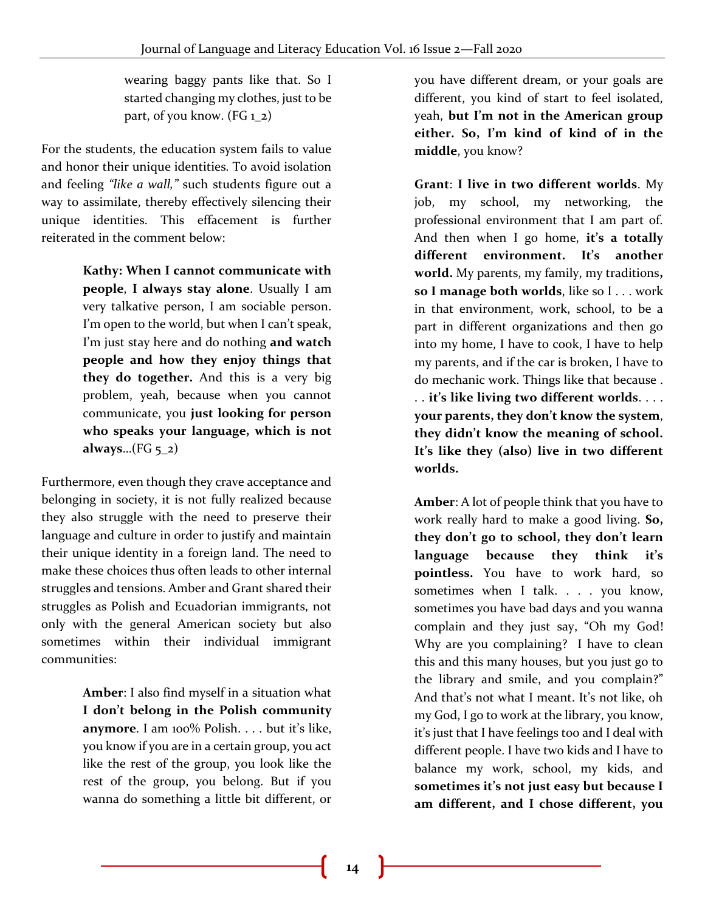wearing baggy pants like that. So I started changing my clothes, just to be part, of you know.  $(FG_1 2)$ 

For the students, the education system fails to value and honor their unique identities. To avoid isolation and feeling *"like a wall,"* such students figure out a way to assimilate, thereby effectively silencing their unique identities. This effacement is further reiterated in the comment below:

> **Kathy: When I cannot communicate with people**, **I always stay alone**. Usually I am very talkative person, I am sociable person. I'm open to the world, but when I can't speak, I'm just stay here and do nothing **and watch people and how they enjoy things that they do together.** And this is a very big problem, yeah, because when you cannot communicate, you **just looking for person who speaks your language, which is not always**…(FG 5\_2)

Furthermore, even though they crave acceptance and belonging in society, it is not fully realized because they also struggle with the need to preserve their language and culture in order to justify and maintain their unique identity in a foreign land. The need to make these choices thus often leads to other internal struggles and tensions. Amber and Grant shared their struggles as Polish and Ecuadorian immigrants, not only with the general American society but also sometimes within their individual immigrant communities:

> **Amber**: I also find myself in a situation what **I don't belong in the Polish community anymore**. I am 100% Polish. . . . but it's like, you know if you are in a certain group, you act like the rest of the group, you look like the rest of the group, you belong. But if you wanna do something a little bit different, or

you have different dream, or your goals are different, you kind of start to feel isolated, yeah, **but I'm not in the American group either. So, I'm kind of kind of in the middle**, you know?

**Grant**: **I live in two different worlds**. My job, my school, my networking, the professional environment that I am part of. And then when I go home, **it's a totally different environment. It's another world.** My parents, my family, my traditions**, so I manage both worlds**, like so I . . . work in that environment, work, school, to be a part in different organizations and then go into my home, I have to cook, I have to help my parents, and if the car is broken, I have to do mechanic work. Things like that because . . . **it's like living two different worlds**. . . . **your parents, they don't know the system**, **they didn't know the meaning of school. It's like they (also) live in two different worlds.**

**Amber**: A lot of people think that you have to work really hard to make a good living. **So, they don't go to school, they don't learn language because they think it's pointless.** You have to work hard, so sometimes when I talk. . . . you know, sometimes you have bad days and you wanna complain and they just say, "Oh my God! Why are you complaining? I have to clean this and this many houses, but you just go to the library and smile, and you complain?" And that's not what I meant. It's not like, oh my God, I go to work at the library, you know, it's just that I have feelings too and I deal with different people. I have two kids and I have to balance my work, school, my kids, and **sometimes it's not just easy but because I am different, and I chose different, you**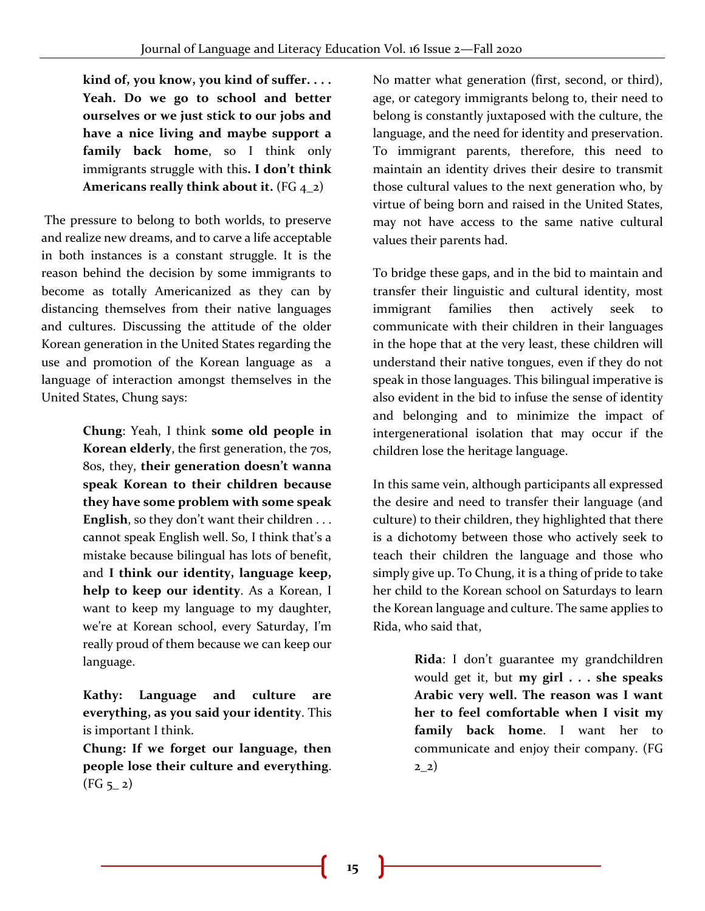**kind of, you know, you kind of suffer. . . . Yeah. Do we go to school and better ourselves or we just stick to our jobs and have a nice living and maybe support a family back home**, so I think only immigrants struggle with this**. I don't think**  Americans really think about it. (FG 4<sub>-2</sub>)

The pressure to belong to both worlds, to preserve and realize new dreams, and to carve a life acceptable in both instances is a constant struggle. It is the reason behind the decision by some immigrants to become as totally Americanized as they can by distancing themselves from their native languages and cultures. Discussing the attitude of the older Korean generation in the United States regarding the use and promotion of the Korean language as a language of interaction amongst themselves in the United States, Chung says:

> **Chung**: Yeah, I think **some old people in Korean elderly**, the first generation, the 70s, 80s, they, **their generation doesn't wanna speak Korean to their children because they have some problem with some speak English**, so they don't want their children . . . cannot speak English well. So, I think that's a mistake because bilingual has lots of benefit, and **I think our identity, language keep, help to keep our identity**. As a Korean, I want to keep my language to my daughter, we're at Korean school, every Saturday, I'm really proud of them because we can keep our language.

> **Kathy: Language and culture are everything, as you said your identity**. This is important I think.

> **Chung: If we forget our language, then people lose their culture and everything**.  $(FG_{5-2})$

No matter what generation (first, second, or third), age, or category immigrants belong to, their need to belong is constantly juxtaposed with the culture, the language, and the need for identity and preservation. To immigrant parents, therefore, this need to maintain an identity drives their desire to transmit those cultural values to the next generation who, by virtue of being born and raised in the United States, may not have access to the same native cultural values their parents had.

To bridge these gaps, and in the bid to maintain and transfer their linguistic and cultural identity, most immigrant families then actively seek to communicate with their children in their languages in the hope that at the very least, these children will understand their native tongues, even if they do not speak in those languages. This bilingual imperative is also evident in the bid to infuse the sense of identity and belonging and to minimize the impact of intergenerational isolation that may occur if the children lose the heritage language.

In this same vein, although participants all expressed the desire and need to transfer their language (and culture) to their children, they highlighted that there is a dichotomy between those who actively seek to teach their children the language and those who simply give up. To Chung, it is a thing of pride to take her child to the Korean school on Saturdays to learn the Korean language and culture. The same applies to Rida, who said that,

> **Rida**: I don't guarantee my grandchildren would get it, but **my girl . . . she speaks Arabic very well. The reason was I want her to feel comfortable when I visit my family back home**. I want her to communicate and enjoy their company. (FG  $22)$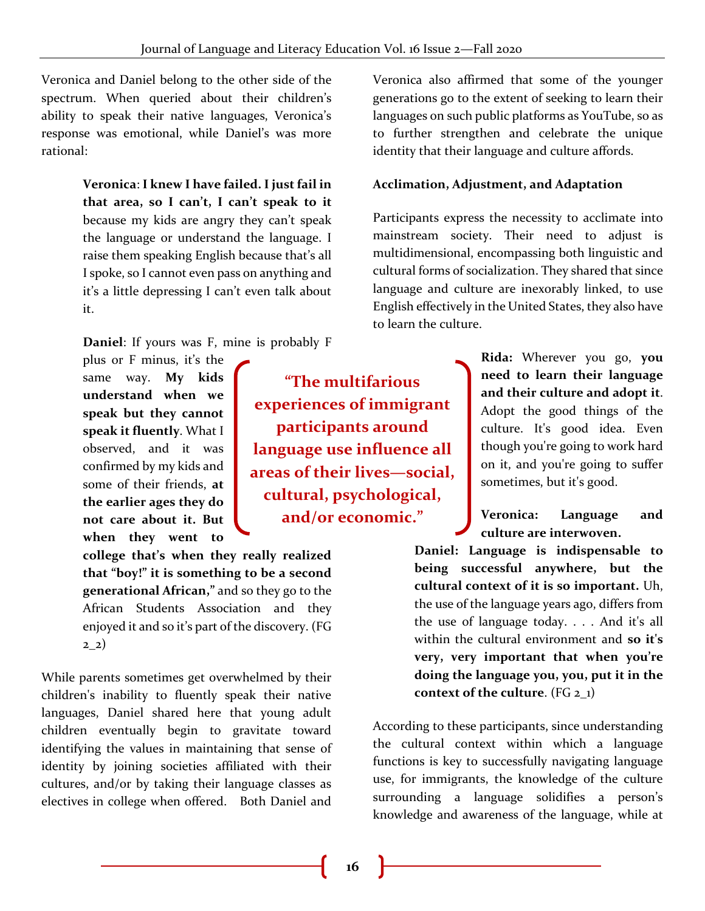**"The multifarious** 

**participants around** 

**cultural, psychological, and/or economic."**

Veronica and Daniel belong to the other side of the spectrum. When queried about their children's ability to speak their native languages, Veronica's response was emotional, while Daniel's was more rational:

> **Veronica**: **I knew I have failed. I just fail in that area, so I can't, I can't speak to it** because my kids are angry they can't speak the language or understand the language. I raise them speaking English because that's all I spoke, so I cannot even pass on anything and it's a little depressing I can't even talk about it.

**Daniel**: If yours was F, mine is probably F

plus or F minus, it's the same way. **My kids understand when we speak but they cannot speak it fluently**. What I observed, and it was confirmed by my kids and some of their friends, **at the earlier ages they do not care about it. But when they went to** 

**college that's when they really realized that "boy!" it is something to be a second generational African,"** and so they go to the African Students Association and they enjoyed it and so it's part of the discovery. (FG 2\_2)

While parents sometimes get overwhelmed by their children's inability to fluently speak their native languages, Daniel shared here that young adult children eventually begin to gravitate toward identifying the values in maintaining that sense of identity by joining societies affiliated with their cultures, and/or by taking their language classes as electives in college when offered. Both Daniel and

Veronica also affirmed that some of the younger generations go to the extent of seeking to learn their languages on such public platforms as YouTube, so as to further strengthen and celebrate the unique identity that their language and culture affords.

#### **Acclimation, Adjustment, and Adaptation**

Participants express the necessity to acclimate into mainstream society. Their need to adjust is multidimensional, encompassing both linguistic and cultural forms of socialization. They shared that since language and culture are inexorably linked, to use English effectively in the United States, they also have to learn the culture.

**Rida:** Wherever you go, **you need to learn their language and their culture and adopt it**. Adopt the good things of the culture. It's good idea. Even though you're going to work hard on it, and you're going to suffer sometimes, but it's good. **experiences of immigrant language use influence all areas of their lives—social,** 

> **Veronica: Language and culture are interwoven.**

**Daniel: Language is indispensable to being successful anywhere, but the cultural context of it is so important.** Uh, the use of the language years ago, differs from the use of language today. . . . And it's all within the cultural environment and **so it's very, very important that when you're doing the language you, you, put it in the context of the culture**. (FG 2\_1)

According to these participants, since understanding the cultural context within which a language functions is key to successfully navigating language use, for immigrants, the knowledge of the culture surrounding a language solidifies a person's knowledge and awareness of the language, while at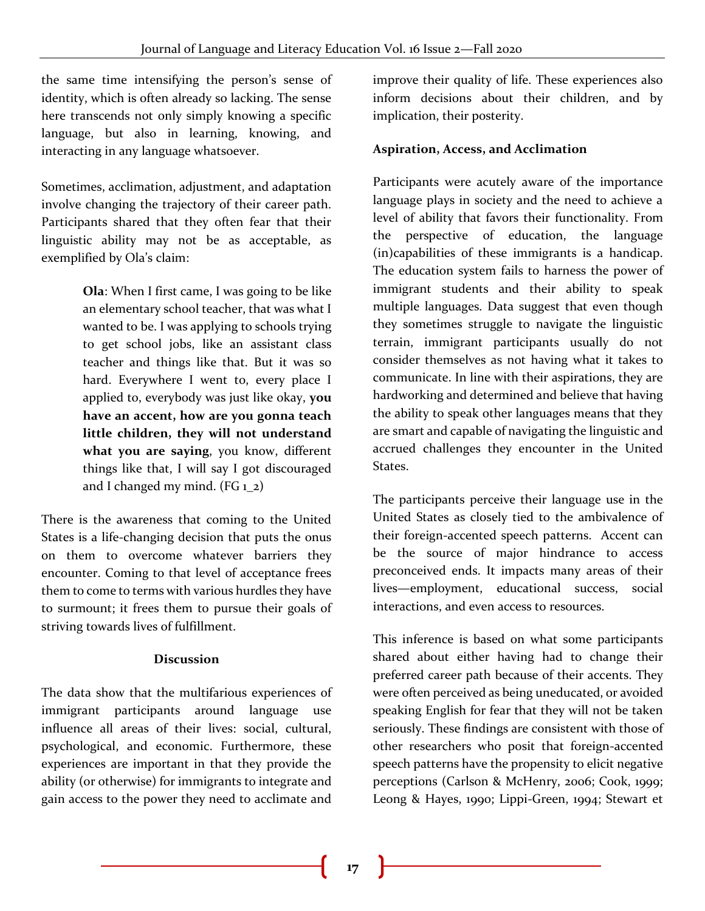the same time intensifying the person's sense of identity, which is often already so lacking. The sense here transcends not only simply knowing a specific language, but also in learning, knowing, and interacting in any language whatsoever.

Sometimes, acclimation, adjustment, and adaptation involve changing the trajectory of their career path. Participants shared that they often fear that their linguistic ability may not be as acceptable, as exemplified by Ola's claim:

> **Ola**: When I first came, I was going to be like an elementary school teacher, that was what I wanted to be. I was applying to schools trying to get school jobs, like an assistant class teacher and things like that. But it was so hard. Everywhere I went to, every place I applied to, everybody was just like okay, **you have an accent, how are you gonna teach little children, they will not understand what you are saying**, you know, different things like that, I will say I got discouraged and I changed my mind. (FG  $1_2$ )

There is the awareness that coming to the United States is a life-changing decision that puts the onus on them to overcome whatever barriers they encounter. Coming to that level of acceptance frees them to come to terms with various hurdles they have to surmount; it frees them to pursue their goals of striving towards lives of fulfillment.

#### **Discussion**

The data show that the multifarious experiences of immigrant participants around language use influence all areas of their lives: social, cultural, psychological, and economic. Furthermore, these experiences are important in that they provide the ability (or otherwise) for immigrants to integrate and gain access to the power they need to acclimate and

improve their quality of life. These experiences also inform decisions about their children, and by implication, their posterity.

#### **Aspiration, Access, and Acclimation**

Participants were acutely aware of the importance language plays in society and the need to achieve a level of ability that favors their functionality. From the perspective of education, the language (in)capabilities of these immigrants is a handicap. The education system fails to harness the power of immigrant students and their ability to speak multiple languages. Data suggest that even though they sometimes struggle to navigate the linguistic terrain, immigrant participants usually do not consider themselves as not having what it takes to communicate. In line with their aspirations, they are hardworking and determined and believe that having the ability to speak other languages means that they are smart and capable of navigating the linguistic and accrued challenges they encounter in the United States.

The participants perceive their language use in the United States as closely tied to the ambivalence of their foreign-accented speech patterns. Accent can be the source of major hindrance to access preconceived ends. It impacts many areas of their lives—employment, educational success, social interactions, and even access to resources.

This inference is based on what some participants shared about either having had to change their preferred career path because of their accents. They were often perceived as being uneducated, or avoided speaking English for fear that they will not be taken seriously. These findings are consistent with those of other researchers who posit that foreign-accented speech patterns have the propensity to elicit negative perceptions (Carlson & McHenry, 2006; Cook, 1999; Leong & Hayes, 1990; Lippi-Green, 1994; Stewart et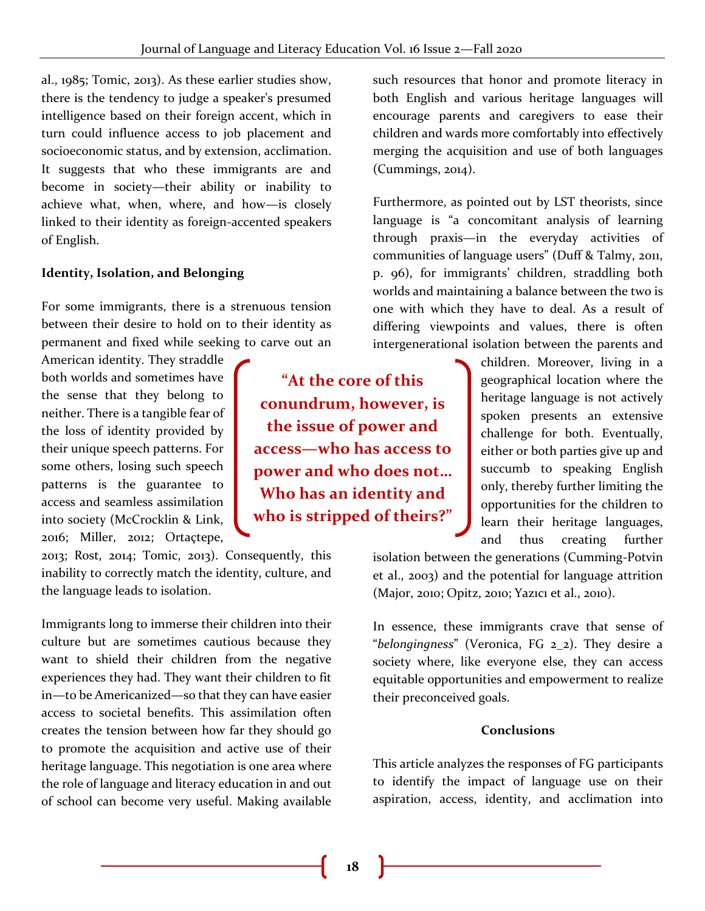al., 1985; Tomic, 2013). As these earlier studies show, there is the tendency to judge a speaker's presumed intelligence based on their foreign accent, which in turn could influence access to job placement and socioeconomic status, and by extension, acclimation. It suggests that who these immigrants are and become in society—their ability or inability to achieve what, when, where, and how—is closely linked to their identity as foreign-accented speakers of English.

## **Identity, Isolation, and Belonging**

For some immigrants, there is a strenuous tension between their desire to hold on to their identity as permanent and fixed while seeking to carve out an

American identity. They straddle both worlds and sometimes have the sense that they belong to neither. There is a tangible fear of the loss of identity provided by their unique speech patterns. For some others, losing such speech patterns is the guarantee to access and seamless assimilation into society (McCrocklin & Link, 2016; Miller, 2012; Ortaçtepe,

2013; Rost, 2014; Tomic, 2013). Consequently, this inability to correctly match the identity, culture, and the language leads to isolation.

Immigrants long to immerse their children into their culture but are sometimes cautious because they want to shield their children from the negative experiences they had. They want their children to fit in—to be Americanized—so that they can have easier access to societal benefits. This assimilation often creates the tension between how far they should go to promote the acquisition and active use of their heritage language. This negotiation is one area where the role of language and literacy education in and out of school can become very useful. Making available

**"At the core of this conundrum, however, is the issue of power and access—who has access to power and who does not… Who has an identity and who is stripped of theirs?"**

such resources that honor and promote literacy in both English and various heritage languages will encourage parents and caregivers to ease their children and wards more comfortably into effectively merging the acquisition and use of both languages (Cummings, 2014).

Furthermore, as pointed out by LST theorists, since language is "a concomitant analysis of learning through praxis—in the everyday activities of communities of language users" (Duff & Talmy, 2011, p. 96), for immigrants' children, straddling both worlds and maintaining a balance between the two is one with which they have to deal. As a result of differing viewpoints and values, there is often intergenerational isolation between the parents and

> children. Moreover, living in a geographical location where the heritage language is not actively spoken presents an extensive challenge for both. Eventually, either or both parties give up and succumb to speaking English only, thereby further limiting the opportunities for the children to learn their heritage languages, and thus creating further

isolation between the generations (Cumming-Potvin et al., 2003) and the potential for language attrition (Major, 2010; Opitz, 2010; Yazıcı et al., 2010).

In essence, these immigrants crave that sense of "*belongingness*" (Veronica, FG 2\_2). They desire a society where, like everyone else, they can access equitable opportunities and empowerment to realize their preconceived goals.

## **Conclusions**

This article analyzes the responses of FG participants to identify the impact of language use on their aspiration, access, identity, and acclimation into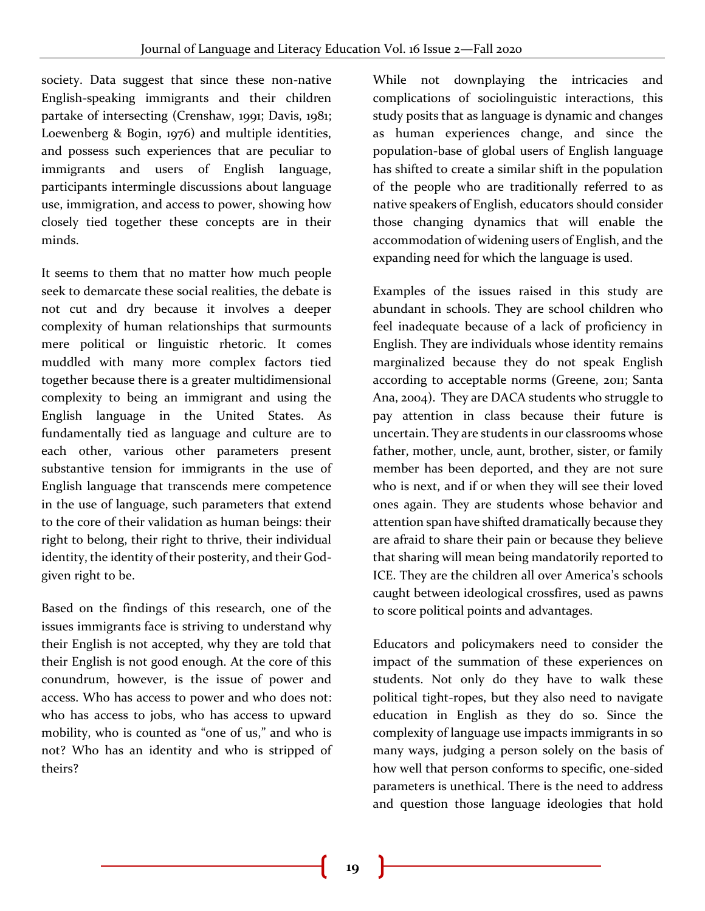society. Data suggest that since these non-native English-speaking immigrants and their children partake of intersecting (Crenshaw, 1991; Davis, 1981; Loewenberg & Bogin, 1976) and multiple identities, and possess such experiences that are peculiar to immigrants and users of English language, participants intermingle discussions about language use, immigration, and access to power, showing how closely tied together these concepts are in their minds.

It seems to them that no matter how much people seek to demarcate these social realities, the debate is not cut and dry because it involves a deeper complexity of human relationships that surmounts mere political or linguistic rhetoric. It comes muddled with many more complex factors tied together because there is a greater multidimensional complexity to being an immigrant and using the English language in the United States. As fundamentally tied as language and culture are to each other, various other parameters present substantive tension for immigrants in the use of English language that transcends mere competence in the use of language, such parameters that extend to the core of their validation as human beings: their right to belong, their right to thrive, their individual identity, the identity of their posterity, and their Godgiven right to be.

Based on the findings of this research, one of the issues immigrants face is striving to understand why their English is not accepted, why they are told that their English is not good enough. At the core of this conundrum, however, is the issue of power and access. Who has access to power and who does not: who has access to jobs, who has access to upward mobility, who is counted as "one of us," and who is not? Who has an identity and who is stripped of theirs?

While not downplaying the intricacies and complications of sociolinguistic interactions, this study posits that as language is dynamic and changes as human experiences change, and since the population-base of global users of English language has shifted to create a similar shift in the population of the people who are traditionally referred to as native speakers of English, educators should consider those changing dynamics that will enable the accommodation of widening users of English, and the expanding need for which the language is used.

Examples of the issues raised in this study are abundant in schools. They are school children who feel inadequate because of a lack of proficiency in English. They are individuals whose identity remains marginalized because they do not speak English according to acceptable norms (Greene, 2011; Santa Ana, 2004). They are DACA students who struggle to pay attention in class because their future is uncertain. They are students in our classrooms whose father, mother, uncle, aunt, brother, sister, or family member has been deported, and they are not sure who is next, and if or when they will see their loved ones again. They are students whose behavior and attention span have shifted dramatically because they are afraid to share their pain or because they believe that sharing will mean being mandatorily reported to ICE. They are the children all over America's schools caught between ideological crossfires, used as pawns to score political points and advantages.

Educators and policymakers need to consider the impact of the summation of these experiences on students. Not only do they have to walk these political tight-ropes, but they also need to navigate education in English as they do so. Since the complexity of language use impacts immigrants in so many ways, judging a person solely on the basis of how well that person conforms to specific, one-sided parameters is unethical. There is the need to address and question those language ideologies that hold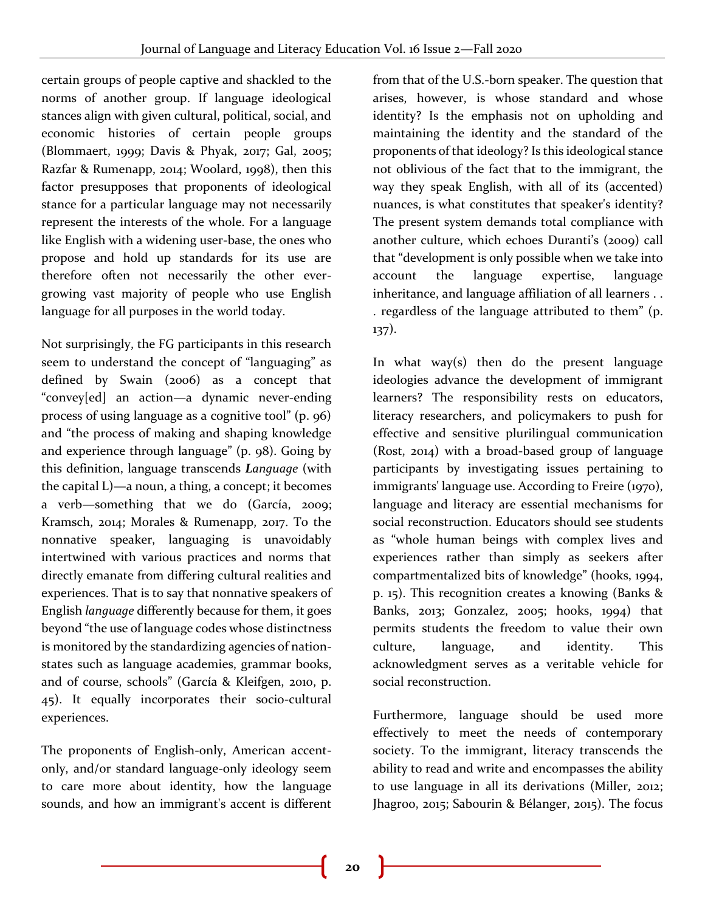certain groups of people captive and shackled to the norms of another group. If language ideological stances align with given cultural, political, social, and economic histories of certain people groups (Blommaert, 1999; Davis & Phyak, 2017; Gal, 2005; Razfar & Rumenapp, 2014; Woolard, 1998), then this factor presupposes that proponents of ideological stance for a particular language may not necessarily represent the interests of the whole. For a language like English with a widening user-base, the ones who propose and hold up standards for its use are therefore often not necessarily the other evergrowing vast majority of people who use English language for all purposes in the world today.

Not surprisingly, the FG participants in this research seem to understand the concept of "languaging" as defined by Swain (2006) as a concept that "convey[ed] an action—a dynamic never-ending process of using language as a cognitive tool" (p. 96) and "the process of making and shaping knowledge and experience through language" (p. 98). Going by this definition, language transcends *Language* (with the capital L)—a noun, a thing, a concept; it becomes a verb—something that we do (García, 2009; Kramsch, 2014; Morales & Rumenapp, 2017. To the nonnative speaker, languaging is unavoidably intertwined with various practices and norms that directly emanate from differing cultural realities and experiences. That is to say that nonnative speakers of English *language* differently because for them, it goes beyond "the use of language codes whose distinctness is monitored by the standardizing agencies of nationstates such as language academies, grammar books, and of course, schools" (García & Kleifgen, 2010, p. 45). It equally incorporates their socio-cultural experiences.

The proponents of English-only, American accentonly, and/or standard language-only ideology seem to care more about identity, how the language sounds, and how an immigrant's accent is different

from that of the U.S.-born speaker. The question that arises, however, is whose standard and whose identity? Is the emphasis not on upholding and maintaining the identity and the standard of the proponents of that ideology? Is this ideological stance not oblivious of the fact that to the immigrant, the way they speak English, with all of its (accented) nuances, is what constitutes that speaker's identity? The present system demands total compliance with another culture, which echoes Duranti's (2009) call that "development is only possible when we take into account the language expertise, language inheritance, and language affiliation of all learners . . . regardless of the language attributed to them" (p. 137).

In what way(s) then do the present language ideologies advance the development of immigrant learners? The responsibility rests on educators, literacy researchers, and policymakers to push for effective and sensitive plurilingual communication (Rost, 2014) with a broad-based group of language participants by investigating issues pertaining to immigrants' language use. According to Freire (1970), language and literacy are essential mechanisms for social reconstruction. Educators should see students as "whole human beings with complex lives and experiences rather than simply as seekers after compartmentalized bits of knowledge" (hooks, 1994, p. 15). This recognition creates a knowing (Banks & Banks, 2013; Gonzalez, 2005; hooks, 1994) that permits students the freedom to value their own culture, language, and identity. This acknowledgment serves as a veritable vehicle for social reconstruction.

Furthermore, language should be used more effectively to meet the needs of contemporary society. To the immigrant, literacy transcends the ability to read and write and encompasses the ability to use language in all its derivations (Miller, 2012; Jhagroo, 2015; Sabourin & Bélanger, 2015). The focus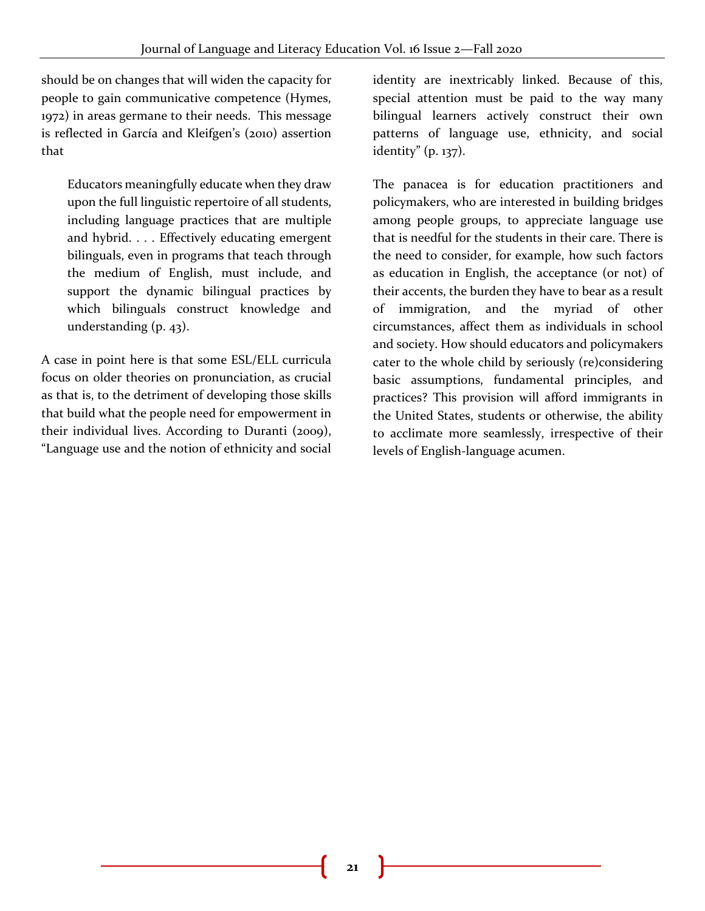should be on changes that will widen the capacity for people to gain communicative competence (Hymes, 1972) in areas germane to their needs. This message is reflected in García and Kleifgen's (2010) assertion that

Educators meaningfully educate when they draw upon the full linguistic repertoire of all students, including language practices that are multiple and hybrid. . . . Effectively educating emergent bilinguals, even in programs that teach through the medium of English, must include, and support the dynamic bilingual practices by which bilinguals construct knowledge and understanding (p. 43).

A case in point here is that some ESL/ELL curricula focus on older theories on pronunciation, as crucial as that is, to the detriment of developing those skills that build what the people need for empowerment in their individual lives. According to Duranti (2009), "Language use and the notion of ethnicity and social

identity are inextricably linked. Because of this, special attention must be paid to the way many bilingual learners actively construct their own patterns of language use, ethnicity, and social identity" (p. 137).

The panacea is for education practitioners and policymakers, who are interested in building bridges among people groups, to appreciate language use that is needful for the students in their care. There is the need to consider, for example, how such factors as education in English, the acceptance (or not) of their accents, the burden they have to bear as a result of immigration, and the myriad of other circumstances, affect them as individuals in school and society. How should educators and policymakers cater to the whole child by seriously (re)considering basic assumptions, fundamental principles, and practices? This provision will afford immigrants in the United States, students or otherwise, the ability to acclimate more seamlessly, irrespective of their levels of English-language acumen.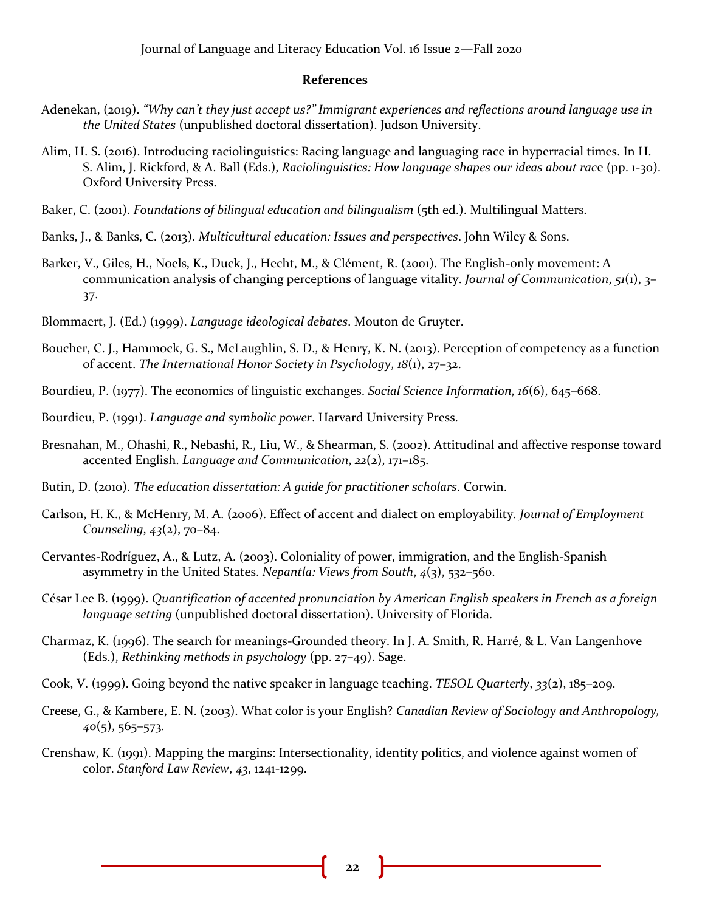#### **References**

- Adenekan, (2019). *"Why can't they just accept us?" Immigrant experiences and reflections around language use in the United States* (unpublished doctoral dissertation). Judson University.
- Alim, H. S. (2016). Introducing raciolinguistics: Racing language and languaging race in hyperracial times. In H. S. Alim, J. Rickford, & A. Ball (Eds.), *Raciolinguistics: How language shapes our ideas about rac*e (pp. 1-30). Oxford University Press.
- Baker, C. (2001). *Foundations of bilingual education and bilingualism* (5th ed.). Multilingual Matters.
- Banks, J., & Banks, C. (2013). *Multicultural education: Issues and perspectives*. John Wiley & Sons.
- Barker, V., Giles, H., Noels, K., Duck, J., Hecht, M., & Clément, R. (2001). The English-only movement: A communication analysis of changing perceptions of language vitality. *Journal of Communication*, *51*(1), 3– 37.
- Blommaert, J. (Ed.) (1999). *Language ideological debates*. Mouton de Gruyter.
- Boucher, C. J., Hammock, G. S., McLaughlin, S. D., & Henry, K. N. (2013). Perception of competency as a function of accent. *The International Honor Society in Psychology*, *18*(1), 27–32.
- Bourdieu, P. (1977). The economics of linguistic exchanges. *Social Science Information*, *16*(6), 645–668.
- Bourdieu, P. (1991). *Language and symbolic power*. Harvard University Press.
- Bresnahan, M., Ohashi, R., Nebashi, R., Liu, W., & Shearman, S. (2002). Attitudinal and affective response toward accented English. *Language and Communication*, *22*(2), 171–185.
- Butin, D. (2010). *The education dissertation: A guide for practitioner scholars*. Corwin.
- Carlson, H. K., & McHenry, M. A. (2006). Effect of accent and dialect on employability. *Journal of Employment Counseling*, *43*(2), 70–84.
- Cervantes-Rodríguez, A., & Lutz, A. (2003). Coloniality of power, immigration, and the English-Spanish asymmetry in the United States. *Nepantla: Views from South*, *4*(3), 532–560.
- César Lee B. (1999). *Quantification of accented pronunciation by American English speakers in French as a foreign language setting* (unpublished doctoral dissertation). University of Florida.
- Charmaz, K. (1996). The search for meanings-Grounded theory. In J. A. Smith, R. Harré, & L. Van Langenhove (Eds.), *Rethinking methods in psychology* (pp. 27–49). Sage.
- Cook, V. (1999). Going beyond the native speaker in language teaching. *TESOL Quarterly*, *33*(2), 185–209.
- Creese, G., & Kambere, E. N. (2003). What color is your English? *Canadian Review of Sociology and Anthropology, 40*(5), 565–573.
- Crenshaw, K. (1991). Mapping the margins: Intersectionality, identity politics, and violence against women of color. *Stanford Law Review*, *43*, 1241-1299.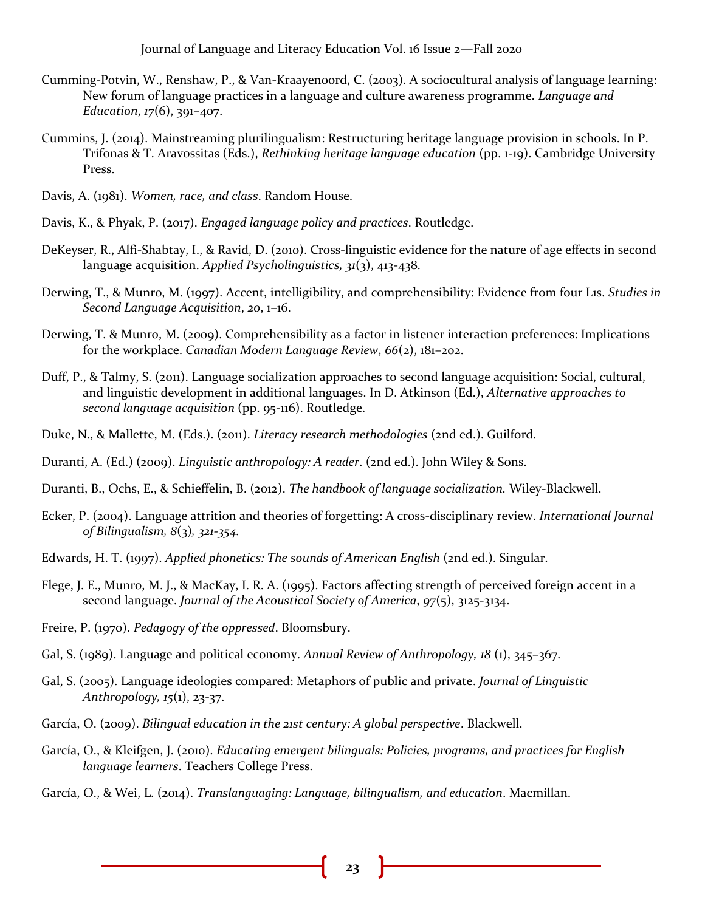- Cumming-Potvin, W., Renshaw, P., & Van-Kraayenoord, C. (2003). A sociocultural analysis of language learning: New forum of language practices in a language and culture awareness programme. *Language and Education*, *17*(6), 391–407.
- Cummins, J. (2014). Mainstreaming plurilingualism: Restructuring heritage language provision in schools. In P. Trifonas & T. Aravossitas (Eds.), *Rethinking heritage language education* (pp. 1-19). Cambridge University Press.
- Davis, A. (1981). *Women, race, and class*. Random House.
- Davis, K., & Phyak, P. (2017). *Engaged language policy and practices*. Routledge.
- DeKeyser, R., Alfi-Shabtay, I., & Ravid, D. (2010). Cross-linguistic evidence for the nature of age effects in second language acquisition. *Applied Psycholinguistics, 31*(3), 413-438.
- Derwing, T., & Munro, M. (1997). Accent, intelligibility, and comprehensibility: Evidence from four L1s. *Studies in Second Language Acquisition*, *20*, 1–16.
- Derwing, T. & Munro, M. (2009). Comprehensibility as a factor in listener interaction preferences: Implications for the workplace. *Canadian Modern Language Review*, *66*(2), 181–202.
- Duff, P., & Talmy, S. (2011). Language socialization approaches to second language acquisition: Social, cultural, and linguistic development in additional languages. In D. Atkinson (Ed.), *Alternative approaches to second language acquisition* (pp. 95-116). Routledge.
- Duke, N., & Mallette, M. (Eds.). (2011). *Literacy research methodologies* (2nd ed.). Guilford.
- Duranti, A. (Ed.) (2009). *Linguistic anthropology: A reader*. (2nd ed.). John Wiley & Sons.
- Duranti, B., Ochs, E., & Schieffelin, B. (2012). *The handbook of language socialization.* Wiley-Blackwell.
- Ecker, P. (2004). Language attrition and theories of forgetting: A cross-disciplinary review. *International Journal of Bilingualism, 8*(3)*, 321-354.*
- Edwards, H. T. (1997). *Applied phonetics: The sounds of American English* (2nd ed.). Singular.
- Flege, J. E., Munro, M. J., & MacKay, I. R. A. (1995). Factors affecting strength of perceived foreign accent in a second language. *Journal of the Acoustical Society of America*, *97*(5), 3125-3134.
- Freire, P. (1970). *Pedagogy of the oppressed*. Bloomsbury.
- Gal, S. (1989). Language and political economy. *Annual Review of Anthropology, 18* (1), 345–367.
- Gal, S. (2005). Language ideologies compared: Metaphors of public and private. *Journal of Linguistic Anthropology, 15*(1), 23-37.
- García, O. (2009). *Bilingual education in the 21st century: A global perspective*. Blackwell.
- García, O., & Kleifgen, J. (2010). *Educating emergent bilinguals: Policies, programs, and practices for English language learners*. Teachers College Press.
- García, O., & Wei, L. (2014). *Translanguaging: Language, bilingualism, and education*. Macmillan.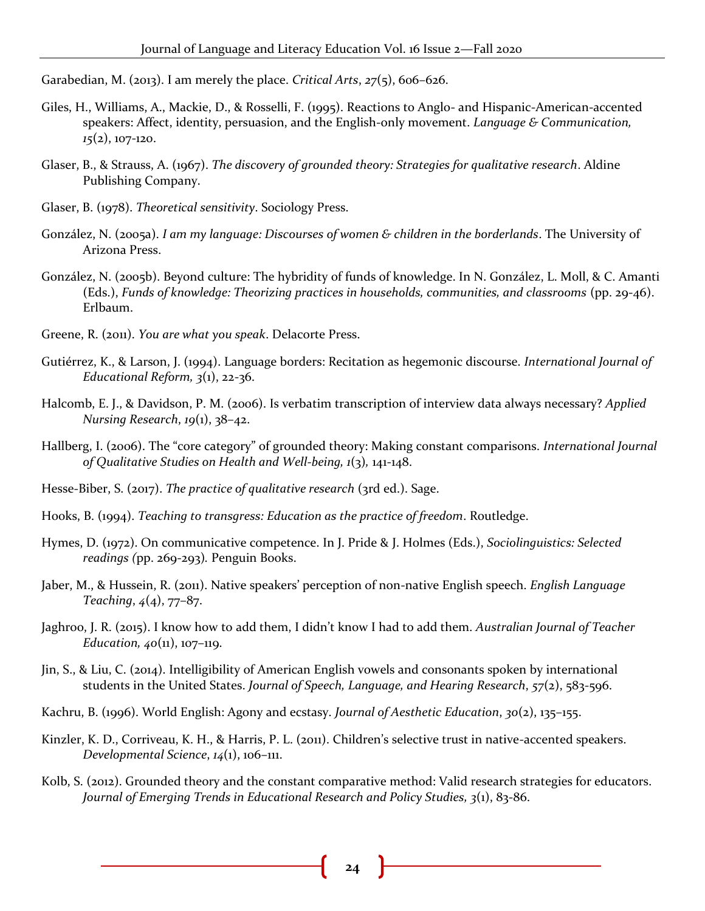Garabedian, M. (2013). I am merely the place. *Critical Arts*, *27*(5), 606–626.

- Giles, H., Williams, A., Mackie, D., & Rosselli, F. (1995). Reactions to Anglo- and Hispanic-American-accented speakers: Affect, identity, persuasion, and the English-only movement. *Language & Communication, 15*(2), 107-120.
- Glaser, B., & Strauss, A. (1967). *The discovery of grounded theory: Strategies for qualitative research*. Aldine Publishing Company.
- Glaser, B. (1978). *Theoretical sensitivity*. Sociology Press.
- González, N. (2005a). *I am my language: Discourses of women & children in the borderlands*. The University of Arizona Press.
- González, N. (2005b). Beyond culture: The hybridity of funds of knowledge. In N. González, L. Moll, & C. Amanti (Eds.), *Funds of knowledge: Theorizing practices in households, communities, and classrooms* (pp. 29-46). Erlbaum.
- Greene, R. (2011). *You are what you speak*. Delacorte Press.
- Gutiérrez, K., & Larson, J. (1994). Language borders: Recitation as hegemonic discourse. *International Journal of Educational Reform, 3*(1), 22-36.
- Halcomb, E. J., & Davidson, P. M. (2006). Is verbatim transcription of interview data always necessary? *Applied Nursing Research*, *19*(1), 38–42.
- Hallberg, I. (2006). The "core category" of grounded theory: Making constant comparisons. *International Journal of Qualitative Studies on Health and Well-being, 1*(3)*,* 141-148.
- Hesse-Biber, S. (2017). *The practice of qualitative research* (3rd ed.). Sage.
- Hooks, B. (1994). *Teaching to transgress: Education as the practice of freedom*. Routledge.
- Hymes, D. (1972). On communicative competence. In J. Pride & J. Holmes (Eds.), *Sociolinguistics: Selected readings (*pp. 269-293)*.* Penguin Books.
- Jaber, M., & Hussein, R. (2011). Native speakers' perception of non-native English speech. *English Language Teaching*, *4*(4), 77–87.
- Jaghroo, J. R. (2015). I know how to add them, I didn't know I had to add them. *Australian Journal of Teacher Education, 40*(11), 107-119.
- Jin, S., & Liu, C. (2014). Intelligibility of American English vowels and consonants spoken by international students in the United States. *Journal of Speech, Language, and Hearing Research*, *57*(2), 583-596.
- Kachru, B. (1996). World English: Agony and ecstasy. *Journal of Aesthetic Education*, *30*(2), 135–155.
- Kinzler, K. D., Corriveau, K. H., & Harris, P. L. (2011). Children's selective trust in native-accented speakers. *Developmental Science*, *14*(1), 106–111.
- Kolb, S. (2012). Grounded theory and the constant comparative method: Valid research strategies for educators. *Journal of Emerging Trends in Educational Research and Policy Studies, 3*(1), 83-86.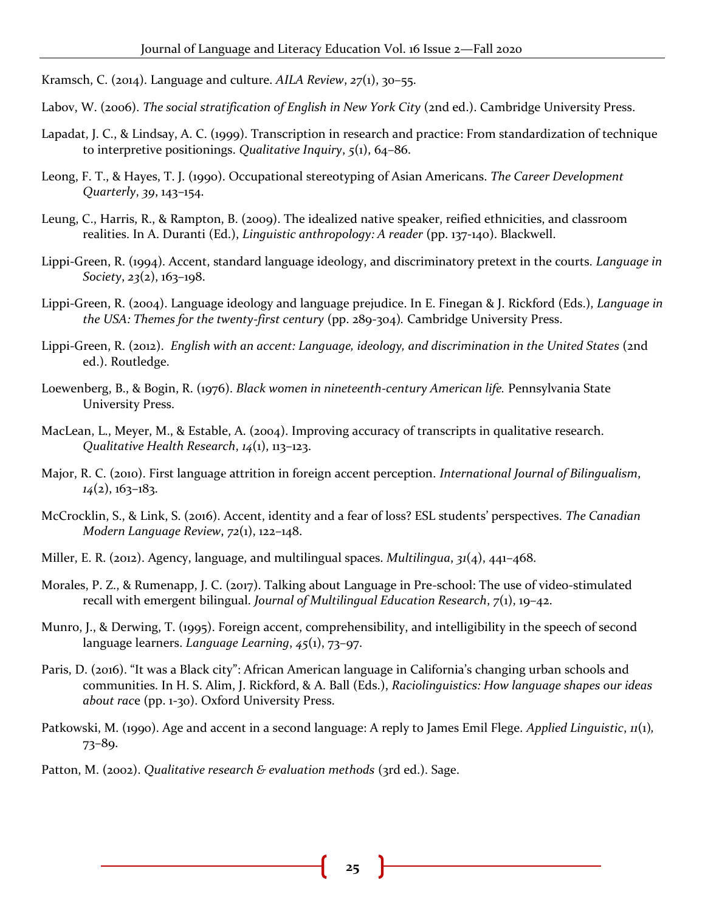- Kramsch, C. (2014). Language and culture. *AILA Review*, *27*(1), 30–55.
- Labov, W. (2006). *The social stratification of English in New York City* (2nd ed.). Cambridge University Press.
- Lapadat, J. C., & Lindsay, A. C. (1999). Transcription in research and practice: From standardization of technique to interpretive positionings. *Qualitative Inquiry*, *5*(1), 64–86.
- Leong, F. T., & Hayes, T. J. (1990). Occupational stereotyping of Asian Americans. *The Career Development Quarterly*, *39*, 143–154.
- Leung, C., Harris, R., & Rampton, B. (2009). The idealized native speaker, reified ethnicities, and classroom realities. In A. Duranti (Ed.), *Linguistic anthropology: A reader* (pp. 137-140). Blackwell.
- Lippi-Green, R. (1994). Accent, standard language ideology, and discriminatory pretext in the courts. *Language in Society*, *23*(2), 163–198.
- Lippi-Green, R. (2004). Language ideology and language prejudice. In E. Finegan & J. Rickford (Eds.), *Language in the USA: Themes for the twenty-first century* (pp. 289-304)*.* Cambridge University Press.
- Lippi-Green, R. (2012). *English with an accent: Language, ideology, and discrimination in the United States* (2nd ed.). Routledge.
- Loewenberg, B., & Bogin, R. (1976). *Black women in nineteenth-century American life.* Pennsylvania State University Press.
- MacLean, L., Meyer, M., & Estable, A. (2004). Improving accuracy of transcripts in qualitative research. *Qualitative Health Research*, *14*(1), 113–123.
- Major, R. C. (2010). First language attrition in foreign accent perception. *International Journal of Bilingualism*, *14*(2), 163–183.
- McCrocklin, S., & Link, S. (2016). Accent, identity and a fear of loss? ESL students' perspectives. *The Canadian Modern Language Review*, *72*(1), 122–148.
- Miller, E. R. (2012). Agency, language, and multilingual spaces. *Multilingua*, *31*(4), 441–468.
- Morales, P. Z., & Rumenapp, J. C. (2017). Talking about Language in Pre-school: The use of video-stimulated recall with emergent bilingual. *Journal of Multilingual Education Research*, *7*(1), 19–42.
- Munro, J., & Derwing, T. (1995). Foreign accent, comprehensibility, and intelligibility in the speech of second language learners. *Language Learning*, *45*(1), 73–97.
- Paris, D. (2016). "It was a Black city": African American language in California's changing urban schools and communities. In H. S. Alim, J. Rickford, & A. Ball (Eds.), *Raciolinguistics: How language shapes our ideas about rac*e (pp. 1-30). Oxford University Press.
- Patkowski, M. (1990). Age and accent in a second language: A reply to James Emil Flege. *Applied Linguistic*, *11*(1)*,*  73–89.
- Patton, M. (2002). *Qualitative research & evaluation methods* (3rd ed.). Sage.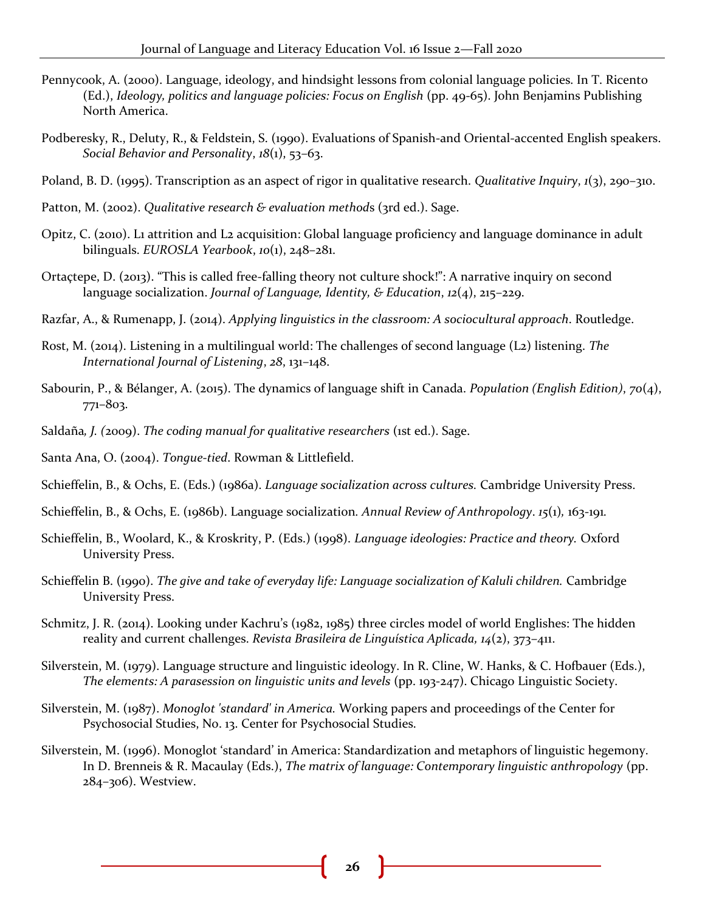- Pennycook, A. (2000). Language, ideology, and hindsight lessons from colonial language policies. In T. Ricento (Ed.), *Ideology, politics and language policies: Focus on English* (pp. 49-65). John Benjamins Publishing North America.
- Podberesky, R., Deluty, R., & Feldstein, S. (1990). Evaluations of Spanish-and Oriental-accented English speakers. *Social Behavior and Personality*, *18*(1), 53–63.
- Poland, B. D. (1995). Transcription as an aspect of rigor in qualitative research. *Qualitative Inquiry*, *1*(3), 290–310.
- Patton, M. (2002). *Qualitative research & evaluation method*s (3rd ed.). Sage.
- Opitz, C. (2010). L1 attrition and L2 acquisition: Global language proficiency and language dominance in adult bilinguals. *EUROSLA Yearbook*, *10*(1), 248–281.
- Ortaçtepe, D. (2013). "This is called free-falling theory not culture shock!": A narrative inquiry on second language socialization. *Journal of Language, Identity, & Education*, *12*(4), 215–229.
- Razfar, A., & Rumenapp, J. (2014). *Applying linguistics in the classroom: A sociocultural approach*. Routledge.
- Rost, M. (2014). Listening in a multilingual world: The challenges of second language (L2) listening. *The International Journal of Listening*, *28*, 131–148.
- Sabourin, P., & Bélanger, A. (2015). The dynamics of language shift in Canada. *Population (English Edition)*, *70*(4), 771–803.
- Saldaña*, J. (*2009). *The coding manual for qualitative researchers* (1st ed.). Sage.
- Santa Ana, O. (2004). *Tongue-tied*. Rowman & Littlefield.
- Schieffelin, B., & Ochs, E. (Eds.) (1986a). *Language socialization across cultures.* Cambridge University Press.
- Schieffelin, B., & Ochs, E. (1986b). Language socialization*. Annual Review of Anthropology*. *15*(1)*,* 163-191*.*
- Schieffelin, B., Woolard, K., & Kroskrity, P. (Eds.) (1998). *Language ideologies: Practice and theory.* Oxford University Press.
- Schieffelin B. (1990). *The give and take of everyday life: Language socialization of Kaluli children.* Cambridge University Press.
- Schmitz, J. R. (2014). Looking under Kachru's (1982, 1985) three circles model of world Englishes: The hidden reality and current challenges. *Revista Brasileira de Linguística Aplicada, 14*(2), 373–411.
- Silverstein, M. (1979). Language structure and linguistic ideology. In R. Cline, W. Hanks, & C. Hofbauer (Eds.), *The elements: A parasession on linguistic units and levels* (pp. 193-247). Chicago Linguistic Society.
- Silverstein, M. (1987). *Monoglot 'standard' in America.* Working papers and proceedings of the Center for Psychosocial Studies, No. 13. Center for Psychosocial Studies.
- Silverstein, M. (1996). Monoglot 'standard' in America: Standardization and metaphors of linguistic hegemony. In D. Brenneis & R. Macaulay (Eds.), *The matrix of language: Contemporary linguistic anthropology* (pp. 284–306). Westview.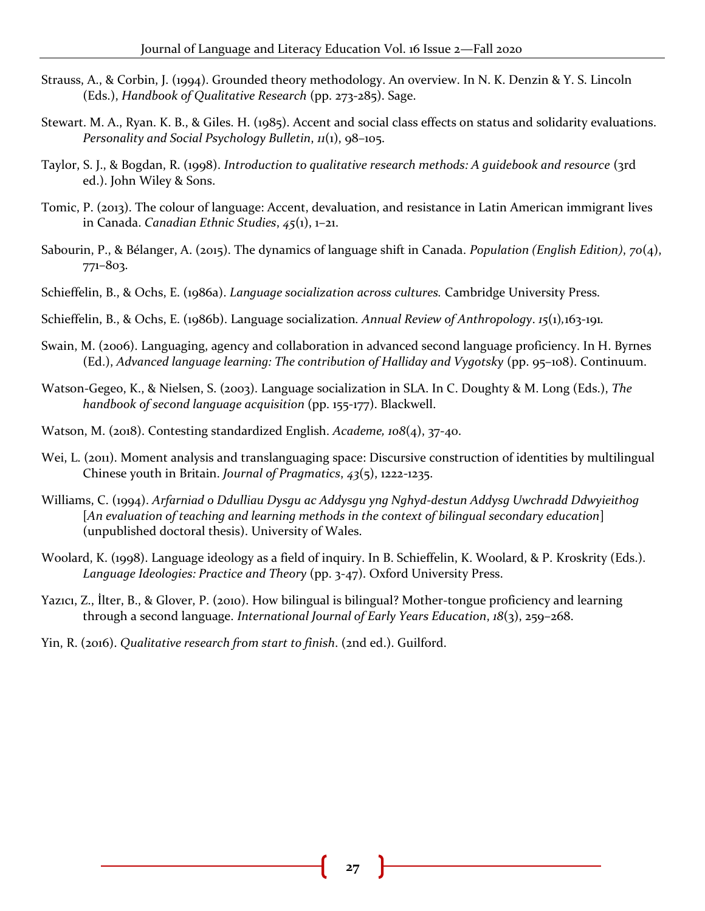- Strauss, A., & Corbin, J. (1994). Grounded theory methodology. An overview. In N. K. Denzin & Y. S. Lincoln (Eds.), *Handbook of Qualitative Research* (pp. 273-285). Sage.
- Stewart. M. A., Ryan. K. B., & Giles. H. (1985). Accent and social class effects on status and solidarity evaluations. *Personality and Social Psychology Bulletin*, *11*(1), 98–105.
- Taylor, S. J., & Bogdan, R. (1998). *Introduction to qualitative research methods: A guidebook and resource* (3rd ed.). John Wiley & Sons.
- Tomic, P. (2013). The colour of language: Accent, devaluation, and resistance in Latin American immigrant lives in Canada. *Canadian Ethnic Studies*, *45*(1), 1–21.
- Sabourin, P., & Bélanger, A. (2015). The dynamics of language shift in Canada. *Population (English Edition)*, *70*(4), 771–803.
- Schieffelin, B., & Ochs, E. (1986a). *Language socialization across cultures.* Cambridge University Press.
- Schieffelin, B., & Ochs, E. (1986b). Language socialization*. Annual Review of Anthropology*. *15*(1)*,*163-191*.*
- Swain, M. (2006). Languaging, agency and collaboration in advanced second language proficiency. In H. Byrnes (Ed.), *Advanced language learning: The contribution of Halliday and Vygotsky* (pp. 95–108). Continuum.
- Watson-Gegeo, K., & Nielsen, S. (2003). Language socialization in SLA. In C. Doughty & M. Long (Eds.), *The handbook of second language acquisition* (pp. 155-177). Blackwell.
- Watson, M. (2018). Contesting standardized English. *Academe, 108*(4), 37-40.
- Wei, L. (2011). Moment analysis and translanguaging space: Discursive construction of identities by multilingual Chinese youth in Britain. *Journal of Pragmatics*, *43*(5), 1222-1235.
- Williams, C. (1994). *Arfarniad o Ddulliau Dysgu ac Addysgu yng Nghyd-destun Addysg Uwchradd Ddwyieithog* [*An evaluation of teaching and learning methods in the context of bilingual secondary education*] (unpublished doctoral thesis). University of Wales.
- Woolard, K. (1998). Language ideology as a field of inquiry. In B. Schieffelin, K. Woolard, & P. Kroskrity (Eds.). *Language Ideologies: Practice and Theory* (pp. 3-47). Oxford University Press.
- Yazıcı, Z., İlter, B., & Glover, P. (2010). How bilingual is bilingual? Mother-tongue proficiency and learning through a second language. *International Journal of Early Years Education*, *18*(3), 259–268.
- Yin, R. (2016). *Qualitative research from start to finish*. (2nd ed.). Guilford.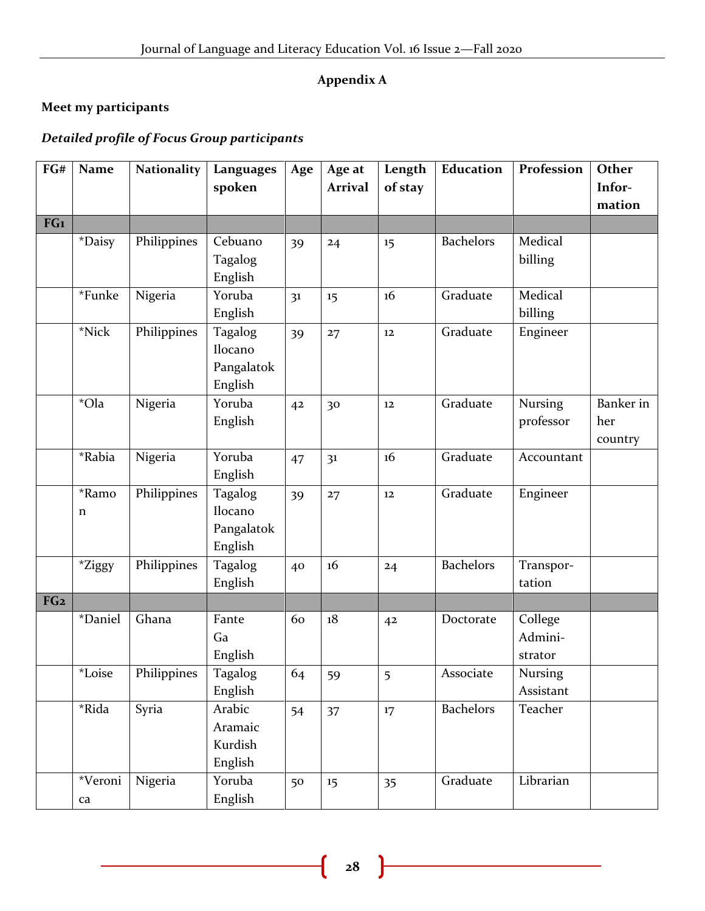## **Appendix A**

## **Meet my participants**

## *Detailed profile of Focus Group participants*

| FG#             | Name                      | <b>Nationality</b> | Languages                                   | Age            | Age at         | Length            | Education        | Profession                    | <b>Other</b>                |
|-----------------|---------------------------|--------------------|---------------------------------------------|----------------|----------------|-------------------|------------------|-------------------------------|-----------------------------|
|                 |                           |                    | spoken                                      |                | <b>Arrival</b> | of stay           |                  |                               | Infor-                      |
|                 |                           |                    |                                             |                |                |                   |                  |                               | mation                      |
| FG1             |                           |                    |                                             |                |                |                   |                  |                               |                             |
|                 | *Daisy                    | Philippines        | Cebuano<br>Tagalog<br>English               | 39             | 24             | 15                | <b>Bachelors</b> | Medical<br>billing            |                             |
|                 | *Funke                    | Nigeria            | Yoruba<br>English                           | 3 <sup>1</sup> | 15             | 16                | Graduate         | Medical<br>billing            |                             |
|                 | *Nick                     | Philippines        | Tagalog<br>Ilocano<br>Pangalatok<br>English | 39             | 27             | $12\,$            | Graduate         | Engineer                      |                             |
|                 | *Ola                      | Nigeria            | Yoruba<br>English                           | 42             | 30             | 12                | Graduate         | Nursing<br>professor          | Banker in<br>her<br>country |
|                 | *Rabia                    | Nigeria            | Yoruba<br>English                           | 47             | 3 <sup>1</sup> | 16                | Graduate         | Accountant                    |                             |
|                 | *Ramo<br>n                | Philippines        | Tagalog<br>Ilocano<br>Pangalatok<br>English | 39             | 27             | 12                | Graduate         | Engineer                      |                             |
|                 | $^{\star} \mathrm{Ziggy}$ | Philippines        | Tagalog<br>English                          | 40             | 16             | 24                | <b>Bachelors</b> | Transpor-<br>tation           |                             |
| FG <sub>2</sub> |                           |                    |                                             |                |                |                   |                  |                               |                             |
|                 | *Daniel                   | Ghana              | Fante<br>Ga<br>English                      | 60             | 18             | 4 <sup>2</sup>    | Doctorate        | College<br>Admini-<br>strator |                             |
|                 | *Loise                    | Philippines        | Tagalog<br>English                          | $64$           | 59             | 5                 | Associate        | Nursing<br>Assistant          |                             |
|                 | *Rida                     | Syria              | Arabic<br>Aramaic<br>Kurdish<br>English     | 54             | 37             | $17 \overline{ }$ | <b>Bachelors</b> | Teacher                       |                             |
|                 | *Veroni<br>ca             | Nigeria            | Yoruba<br>English                           | 50             | 15             | 35                | Graduate         | Librarian                     |                             |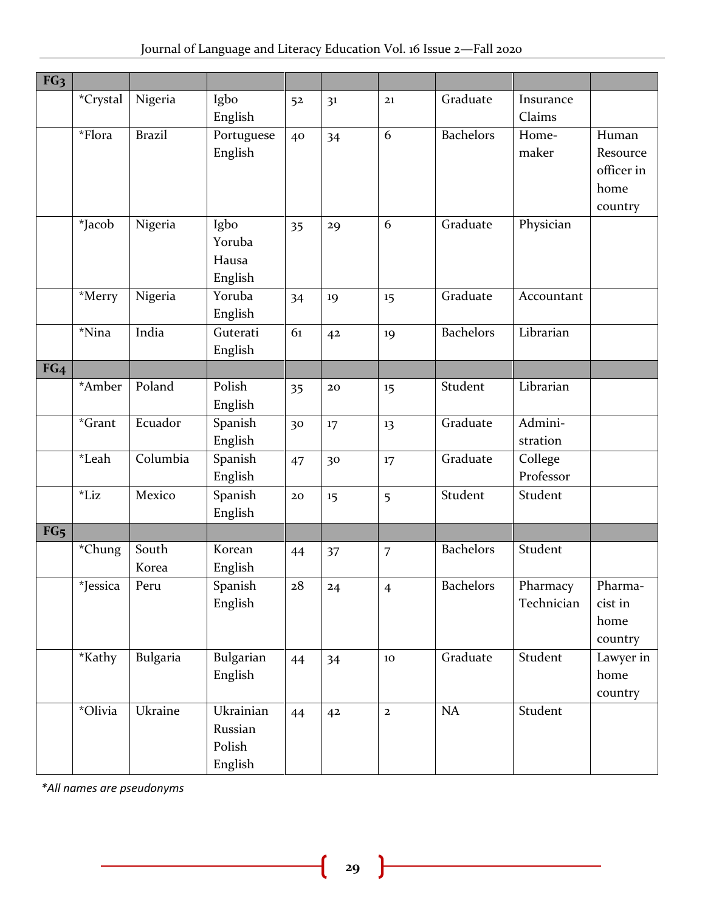| FG <sub>3</sub> |          |               |            |            |                |                |                        |            |            |
|-----------------|----------|---------------|------------|------------|----------------|----------------|------------------------|------------|------------|
|                 | *Crystal | Nigeria       | Igbo       | 52         | 3 <sup>1</sup> | 21             | Graduate               | Insurance  |            |
|                 |          |               | English    |            |                |                |                        | Claims     |            |
|                 | *Flora   | <b>Brazil</b> | Portuguese | 40         | 34             | 6              | <b>Bachelors</b>       | Home-      | Human      |
|                 |          |               | English    |            |                |                |                        | maker      | Resource   |
|                 |          |               |            |            |                |                |                        |            | officer in |
|                 |          |               |            |            |                |                |                        |            | home       |
|                 |          |               |            |            |                |                |                        |            | country    |
|                 | *Jacob   | Nigeria       | Igbo       | 35         | 29             | 6              | Graduate               | Physician  |            |
|                 |          |               | Yoruba     |            |                |                |                        |            |            |
|                 |          |               | Hausa      |            |                |                |                        |            |            |
|                 |          |               | English    |            |                |                |                        |            |            |
|                 | *Merry   | Nigeria       | Yoruba     | 34         | 19             | 15             | $\overline{G}$ raduate | Accountant |            |
|                 |          |               | English    |            |                |                |                        |            |            |
|                 | *Nina    | India         | Guterati   | 61         | 4 <sup>2</sup> | 19             | <b>Bachelors</b>       | Librarian  |            |
|                 |          |               | English    |            |                |                |                        |            |            |
| FG <sub>4</sub> |          |               |            |            |                |                |                        |            |            |
|                 | *Amber   | Poland        | Polish     | 35         | 20             | 15             | Student                | Librarian  |            |
|                 |          |               | English    |            |                |                |                        |            |            |
|                 | $*Grant$ | Ecuador       | Spanish    | 30         | 17             | 13             | Graduate               | Admini-    |            |
|                 |          |               | English    |            |                |                |                        | stration   |            |
|                 | *Leah    | Columbia      | Spanish    | 47         | 30             | 17             | Graduate               | College    |            |
|                 |          |               | English    |            |                |                |                        | Professor  |            |
|                 | $*$ Liz  | Mexico        | Spanish    | ${\bf 20}$ | 15             | 5              | Student                | Student    |            |
|                 |          |               | English    |            |                |                |                        |            |            |
| FG <sub>5</sub> |          |               |            |            |                |                |                        |            |            |
|                 | *Chung   | South         | Korean     | 44         | 37             | $\overline{7}$ | <b>Bachelors</b>       | Student    |            |
|                 |          | Korea         | English    |            |                |                |                        |            |            |
|                 | *Jessica | Peru          | Spanish    | 28         | 24             | $\overline{4}$ | <b>Bachelors</b>       | Pharmacy   | Pharma-    |
|                 |          |               | English    |            |                |                |                        | Technician | cist in    |
|                 |          |               |            |            |                |                |                        |            | home       |
|                 |          |               |            |            |                |                |                        |            | country    |
|                 | *Kathy   | Bulgaria      | Bulgarian  | 44         | 34             | $10\,$         | Graduate               | Student    | Lawyer in  |
|                 |          |               | English    |            |                |                |                        |            | home       |
|                 |          |               |            |            |                |                |                        |            | country    |
|                 | *Olivia  | Ukraine       | Ukrainian  | 44         | 42             | $\mathbf{2}$   | <b>NA</b>              | Student    |            |
|                 |          |               | Russian    |            |                |                |                        |            |            |
|                 |          |               | Polish     |            |                |                |                        |            |            |
|                 |          |               | English    |            |                |                |                        |            |            |

*\*All names are pseudonyms* 

ſ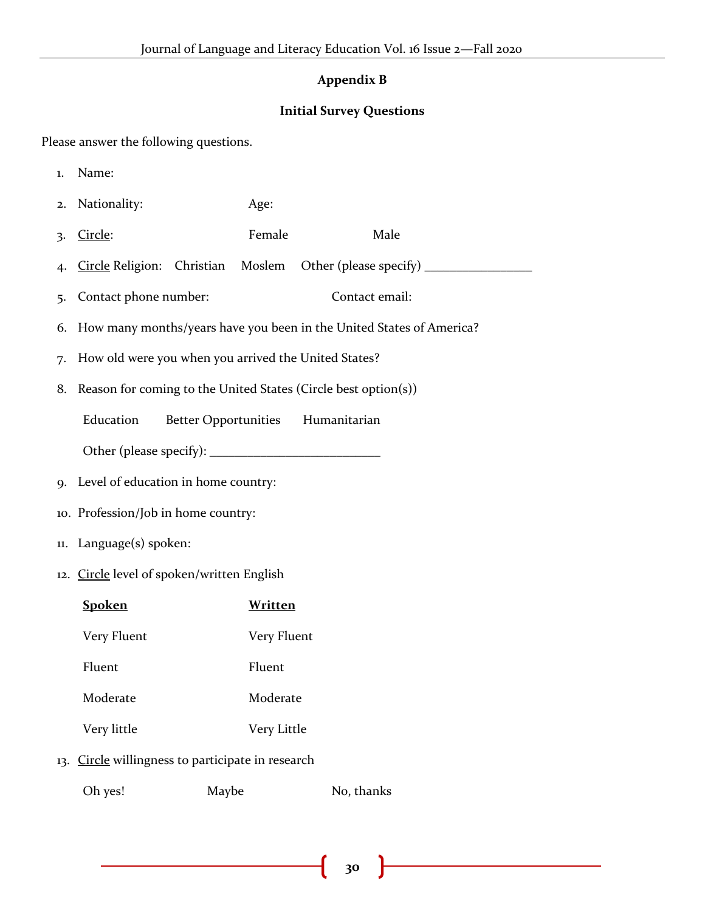#### **Appendix B**

#### **Initial Survey Questions**

Please answer the following questions.

- 1. Name:
- 2. Nationality: Age:
- 3. Circle: Female Male
- 4. Circle Religion: Christian Moslem Other (please specify) \_\_\_\_\_\_\_\_\_\_\_\_\_\_\_\_\_\_\_\_
- 5. Contact phone number: Contact email:
- 6. How many months/years have you been in the United States of America?
- 7. How old were you when you arrived the United States?
- 8. Reason for coming to the United States (Circle best option(s))

Education Better Opportunities Humanitarian

Other (please specify): \_\_\_\_\_\_\_\_\_\_\_\_\_\_\_\_\_\_\_\_\_\_\_\_\_\_\_

- 9. Level of education in home country:
- 10. Profession/Job in home country:
- 11. Language(s) spoken:
- 12. Circle level of spoken/written English

| <b>Spoken</b> | Written       |
|---------------|---------------|
| Very Fluent   | Very Fluent   |
| Fluent        | <b>Fluent</b> |
| Moderate      | Moderate      |
| Very little   | Very Little   |
|               |               |

13. Circle willingness to participate in research

| Oh yes! | Maybe | No, thanks |
|---------|-------|------------|
|---------|-------|------------|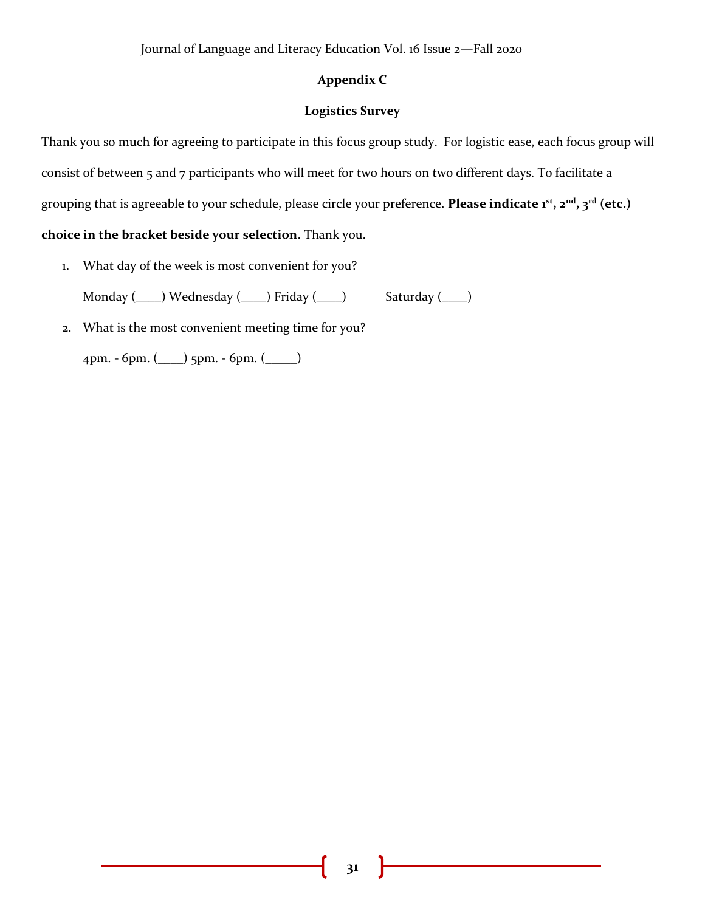#### **Appendix C**

#### **Logistics Survey**

Thank you so much for agreeing to participate in this focus group study. For logistic ease, each focus group will consist of between 5 and 7 participants who will meet for two hours on two different days. To facilitate a grouping that is agreeable to your schedule, please circle your preference. **Please indicate 1st, 2nd, 3rd (etc.) choice in the bracket beside your selection**. Thank you.

1. What day of the week is most convenient for you?

Monday (\_\_\_\_) Wednesday (\_\_\_\_) Friday (\_\_\_\_) Saturday (\_\_\_\_)

2. What is the most convenient meeting time for you?

4pm. - 6pm. (\_\_\_\_) 5pm. - 6pm. (\_\_\_\_\_)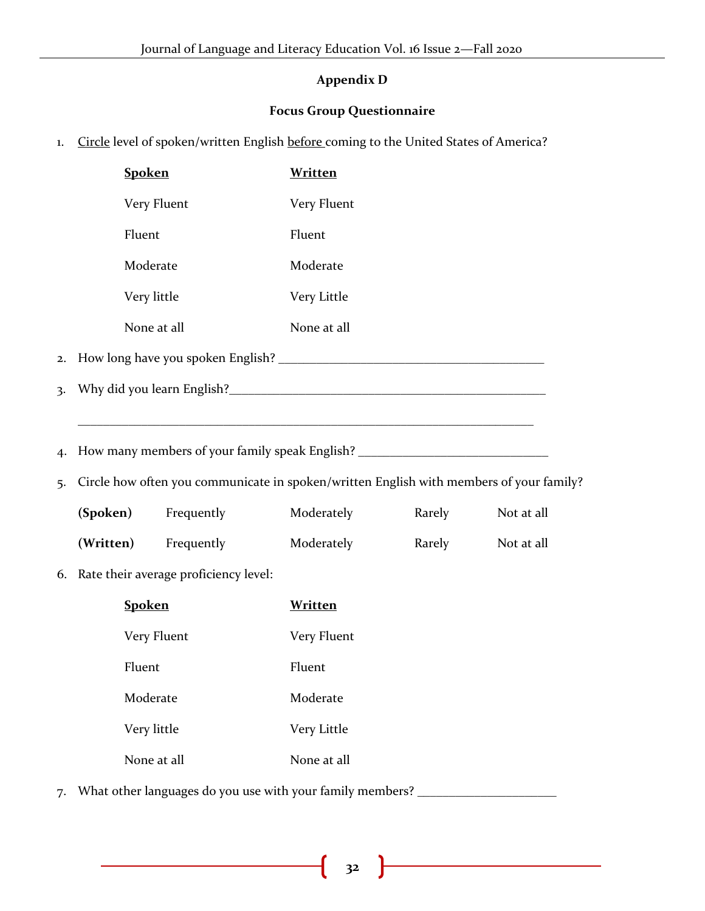## **Appendix D**

#### **Focus Group Questionnaire**

1. Circle level of spoken/written English before coming to the United States of America?

|    | <b>Spoken</b>                                                                           | <b>Written</b> |        |            |
|----|-----------------------------------------------------------------------------------------|----------------|--------|------------|
|    | Very Fluent                                                                             | Very Fluent    |        |            |
|    | Fluent                                                                                  | Fluent         |        |            |
|    | Moderate                                                                                | Moderate       |        |            |
|    | Very little                                                                             | Very Little    |        |            |
|    | None at all                                                                             | None at all    |        |            |
|    |                                                                                         |                |        |            |
|    |                                                                                         |                |        |            |
|    |                                                                                         |                |        |            |
| 4. | How many members of your family speak English? _________________________________        |                |        |            |
| 5. | Circle how often you communicate in spoken/written English with members of your family? |                |        |            |
|    | (Spoken)<br>Frequently                                                                  | Moderately     | Rarely | Not at all |
|    | (Written)<br>Frequently                                                                 | Moderately     | Rarely | Not at all |
| 6. | Rate their average proficiency level:                                                   |                |        |            |
|    | <b>Spoken</b>                                                                           | <b>Written</b> |        |            |
|    | Very Fluent                                                                             | Very Fluent    |        |            |
|    | Fluent                                                                                  | Fluent         |        |            |
|    | Moderate                                                                                | Moderate       |        |            |
|    | Very little                                                                             | Very Little    |        |            |
|    | None at all                                                                             | None at all    |        |            |
|    |                                                                                         |                |        |            |

7. What other languages do you use with your family members? \_\_\_\_\_\_\_\_\_\_\_\_\_\_\_\_\_\_\_\_

 $\mathbf f$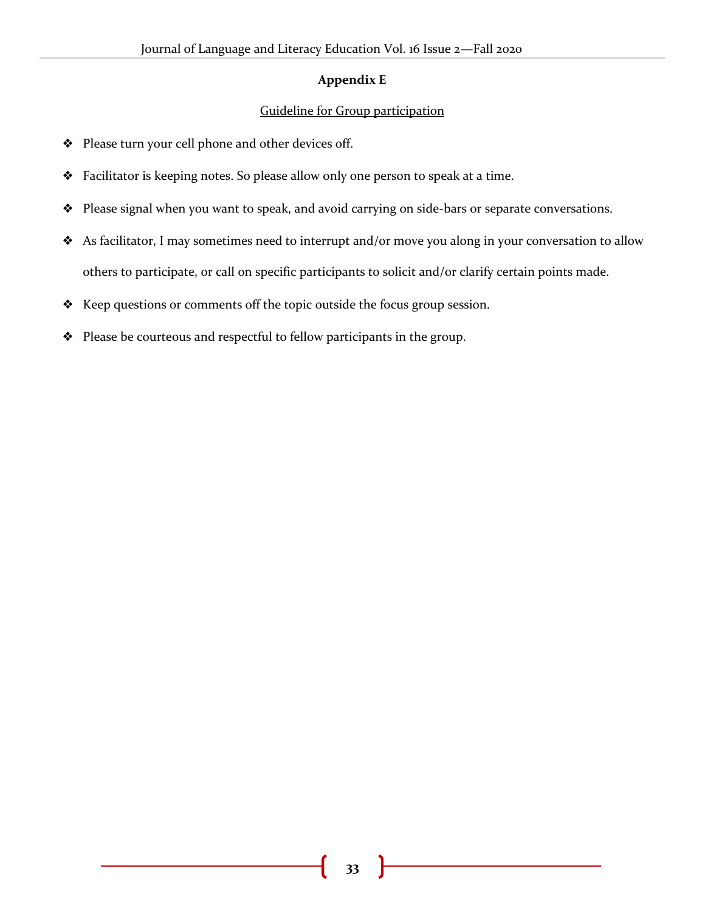#### **Appendix E**

#### Guideline for Group participation

- ❖ Please turn your cell phone and other devices off.
- ❖ Facilitator is keeping notes. So please allow only one person to speak at a time.
- ❖ Please signal when you want to speak, and avoid carrying on side-bars or separate conversations.
- ❖ As facilitator, I may sometimes need to interrupt and/or move you along in your conversation to allow others to participate, or call on specific participants to solicit and/or clarify certain points made.
- ❖ Keep questions or comments off the topic outside the focus group session.
- ❖ Please be courteous and respectful to fellow participants in the group.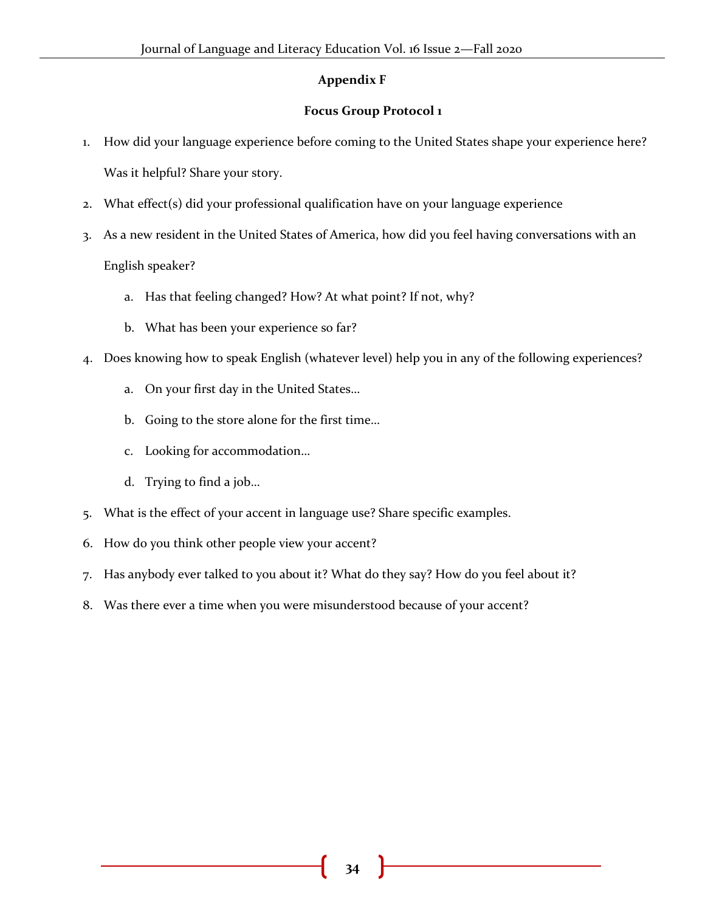#### **Appendix F**

#### **Focus Group Protocol 1**

- 1. How did your language experience before coming to the United States shape your experience here? Was it helpful? Share your story.
- 2. What effect(s) did your professional qualification have on your language experience
- 3. As a new resident in the United States of America, how did you feel having conversations with an English speaker?
	- a. Has that feeling changed? How? At what point? If not, why?
	- b. What has been your experience so far?
- 4. Does knowing how to speak English (whatever level) help you in any of the following experiences?
	- a. On your first day in the United States…
	- b. Going to the store alone for the first time…
	- c. Looking for accommodation…
	- d. Trying to find a job…
- 5. What is the effect of your accent in language use? Share specific examples.
- 6. How do you think other people view your accent?
- 7. Has anybody ever talked to you about it? What do they say? How do you feel about it?
- 8. Was there ever a time when you were misunderstood because of your accent?